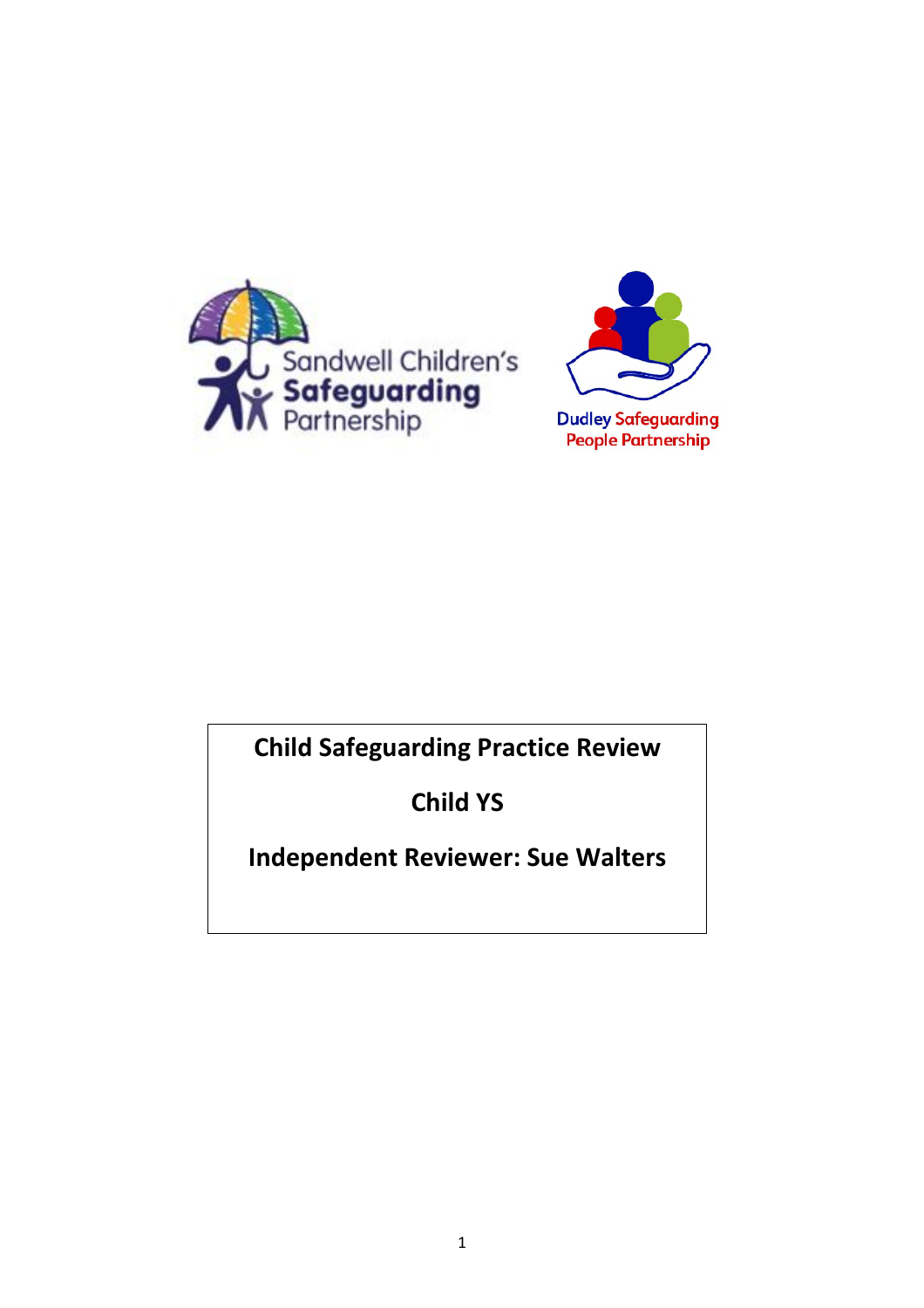



# **Child Safeguarding Practice Review**

**Child YS**

## **Independent Reviewer: Sue Walters**

1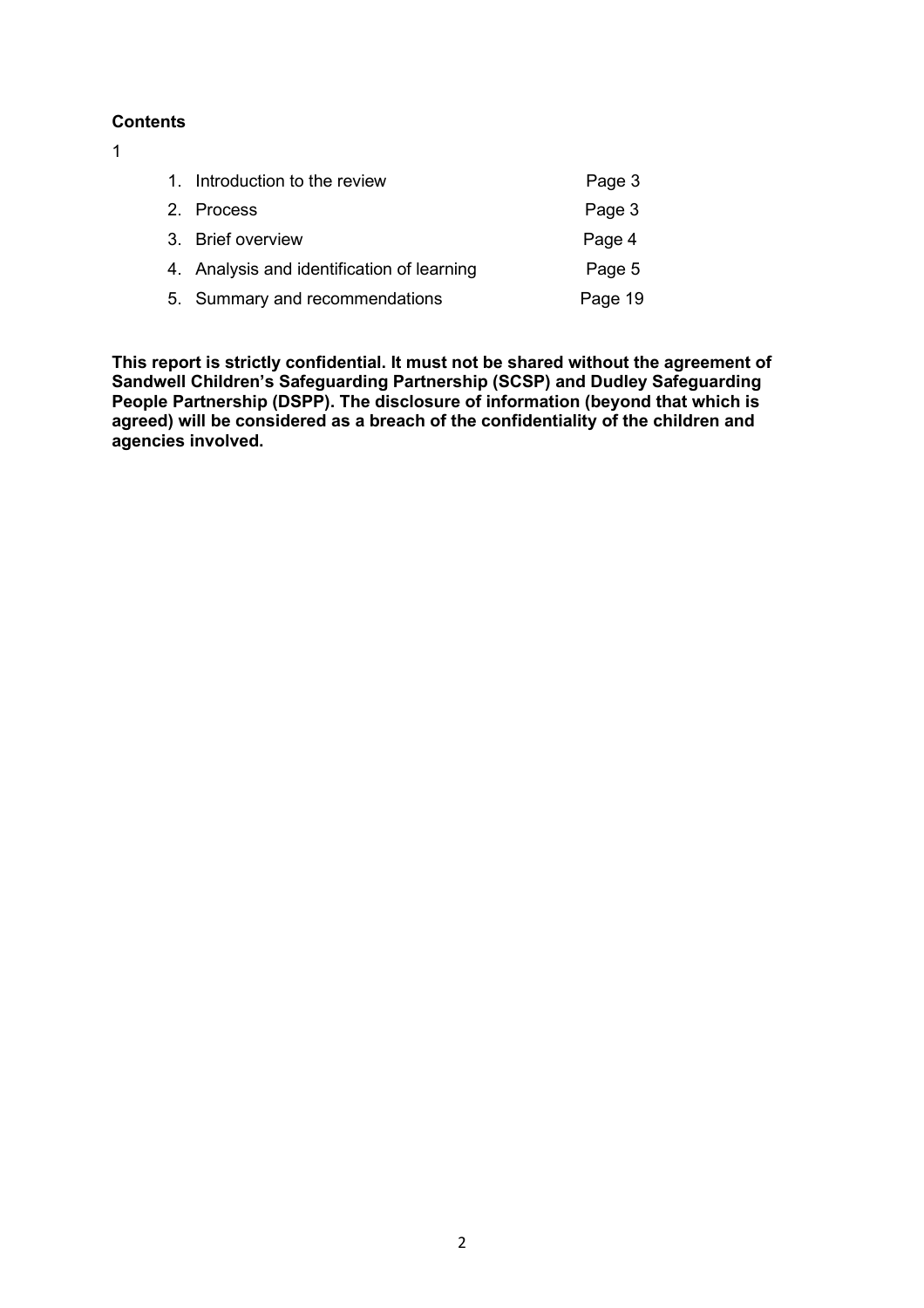#### **Contents**

1

| 1. Introduction to the review              | Page 3  |
|--------------------------------------------|---------|
| 2. Process                                 | Page 3  |
| 3. Brief overview                          | Page 4  |
| 4. Analysis and identification of learning | Page 5  |
| 5. Summary and recommendations             | Page 19 |

**This report is strictly confidential. It must not be shared without the agreement of Sandwell Children's Safeguarding Partnership (SCSP) and Dudley Safeguarding People Partnership (DSPP). The disclosure of information (beyond that which is agreed) will be considered as a breach of the confidentiality of the children and agencies involved.**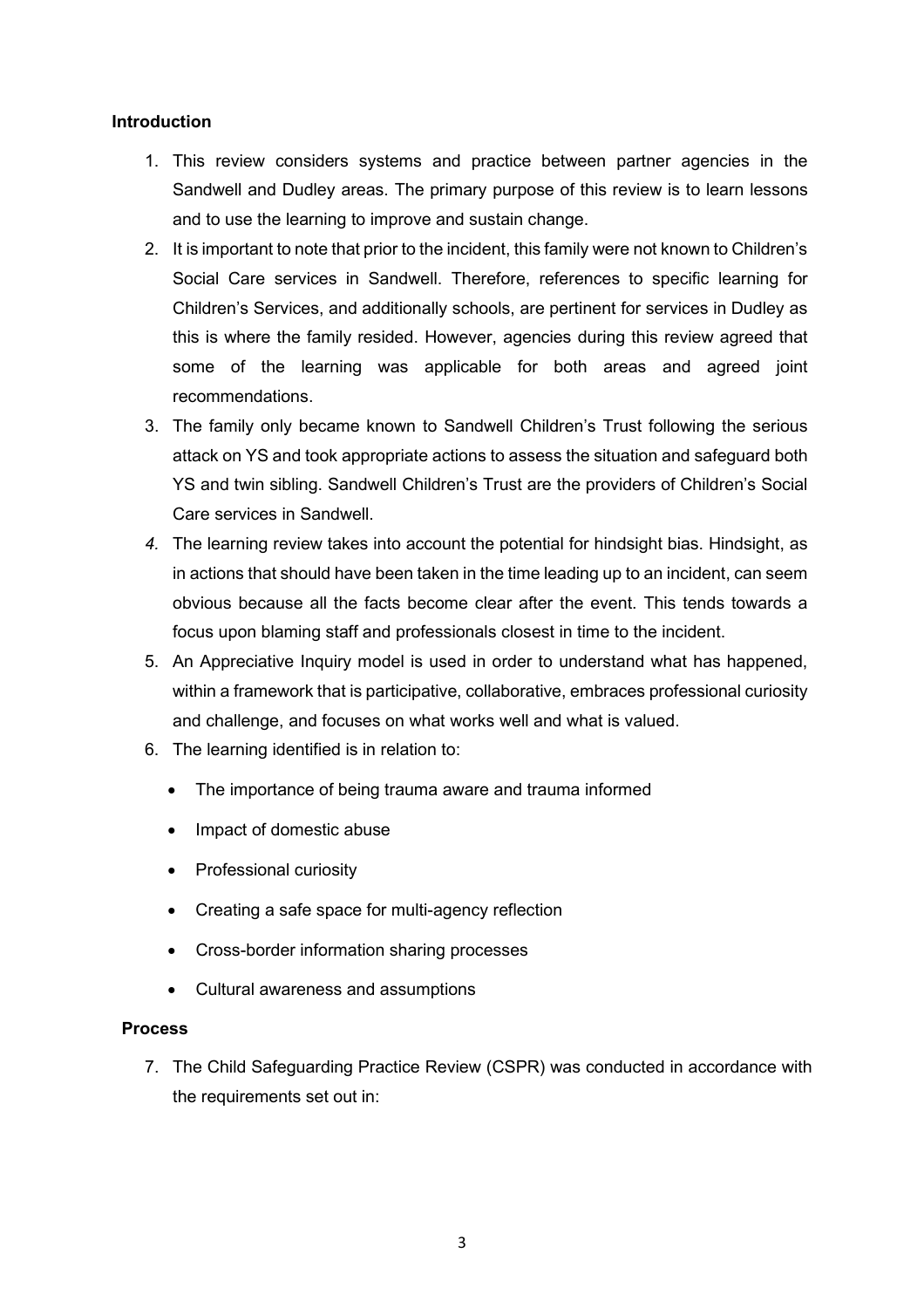## **Introduction**

- 1. This review considers systems and practice between partner agencies in the Sandwell and Dudley areas. The primary purpose of this review is to learn lessons and to use the learning to improve and sustain change.
- 2. It is important to note that prior to the incident, this family were not known to Children's Social Care services in Sandwell. Therefore, references to specific learning for Children's Services, and additionally schools, are pertinent for services in Dudley as this is where the family resided. However, agencies during this review agreed that some of the learning was applicable for both areas and agreed joint recommendations.
- 3. The family only became known to Sandwell Children's Trust following the serious attack on YS and took appropriate actions to assess the situation and safeguard both YS and twin sibling. Sandwell Children's Trust are the providers of Children's Social Care services in Sandwell.
- *4.* The learning review takes into account the potential for hindsight bias. Hindsight, as in actions that should have been taken in the time leading up to an incident, can seem obvious because all the facts become clear after the event. This tends towards a focus upon blaming staff and professionals closest in time to the incident.
- 5. An Appreciative Inquiry model is used in order to understand what has happened, within a framework that is participative, collaborative, embraces professional curiosity and challenge, and focuses on what works well and what is valued.
- 6. The learning identified is in relation to:
	- The importance of being trauma aware and trauma informed
	- Impact of domestic abuse
	- Professional curiosity
	- Creating a safe space for multi-agency reflection
	- Cross-border information sharing processes
	- Cultural awareness and assumptions

## **Process**

7. The Child Safeguarding Practice Review (CSPR) was conducted in accordance with the requirements set out in: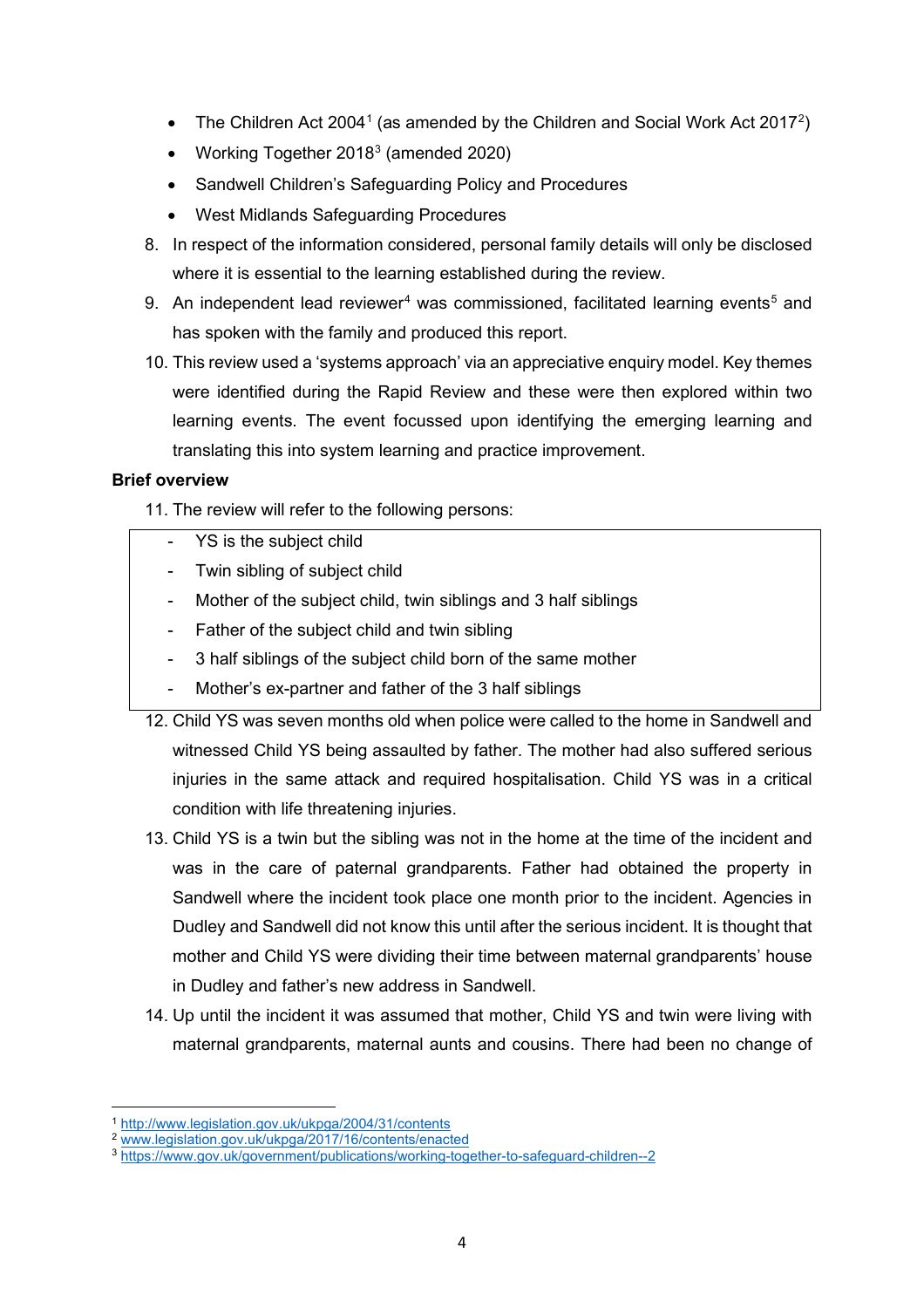- $\bullet$   $\,$  The Children Act [2](#page-3-1)004 $^{\rm 1}$  $^{\rm 1}$  $^{\rm 1}$  (as amended by the Children and Social Work Act 2017 $^{\rm 2}$ )
- Working Together 201[83](#page-3-2) (amended 2020)
- Sandwell Children's Safeguarding Policy and Procedures
- West Midlands Safeguarding Procedures
- 8. In respect of the information considered, personal family details will only be disclosed where it is essential to the learning established during the review.
- 9. An independent lead reviewer<sup>[4](#page-3-3)</sup> was commissioned, facilitated learning events<sup>[5](#page-3-4)</sup> and has spoken with the family and produced this report.
- 10. This review used a 'systems approach' via an appreciative enquiry model. Key themes were identified during the Rapid Review and these were then explored within two learning events. The event focussed upon identifying the emerging learning and translating this into system learning and practice improvement.

## **Brief overview**

- 11. The review will refer to the following persons:
	- YS is the subject child
	- Twin sibling of subject child
	- Mother of the subject child, twin siblings and 3 half siblings
	- Father of the subject child and twin sibling
	- 3 half siblings of the subject child born of the same mother
	- Mother's ex-partner and father of the 3 half siblings
- 12. Child YS was seven months old when police were called to the home in Sandwell and witnessed Child YS being assaulted by father. The mother had also suffered serious injuries in the same attack and required hospitalisation. Child YS was in a critical condition with life threatening injuries.
- 13. Child YS is a twin but the sibling was not in the home at the time of the incident and was in the care of paternal grandparents. Father had obtained the property in Sandwell where the incident took place one month prior to the incident. Agencies in Dudley and Sandwell did not know this until after the serious incident. It is thought that mother and Child YS were dividing their time between maternal grandparents' house in Dudley and father's new address in Sandwell.
- 14. Up until the incident it was assumed that mother, Child YS and twin were living with maternal grandparents, maternal aunts and cousins. There had been no change of

<sup>1</sup> <http://www.legislation.gov.uk/ukpga/2004/31/contents>

<span id="page-3-1"></span><span id="page-3-0"></span><sup>2</sup> [www.legislation.gov.uk/ukpga/2017/16/contents/enacted](http://www.legislation.gov.uk/ukpga/2017/16/contents/enacted)

<span id="page-3-4"></span><span id="page-3-3"></span><span id="page-3-2"></span><sup>3</sup> <https://www.gov.uk/government/publications/working-together-to-safeguard-children--2>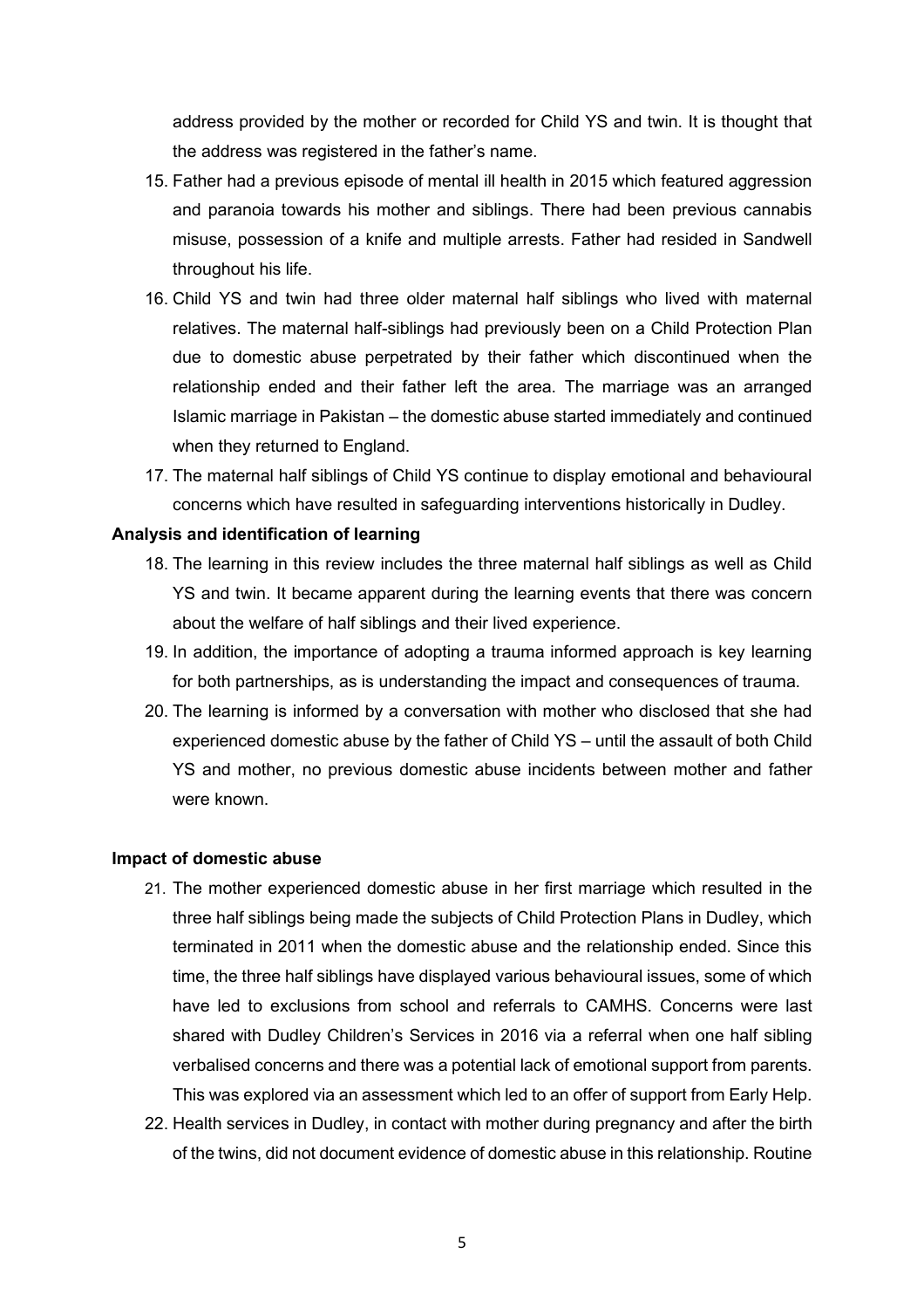address provided by the mother or recorded for Child YS and twin. It is thought that the address was registered in the father's name.

- 15. Father had a previous episode of mental ill health in 2015 which featured aggression and paranoia towards his mother and siblings. There had been previous cannabis misuse, possession of a knife and multiple arrests. Father had resided in Sandwell throughout his life.
- 16. Child YS and twin had three older maternal half siblings who lived with maternal relatives. The maternal half-siblings had previously been on a Child Protection Plan due to domestic abuse perpetrated by their father which discontinued when the relationship ended and their father left the area. The marriage was an arranged Islamic marriage in Pakistan – the domestic abuse started immediately and continued when they returned to England.
- 17. The maternal half siblings of Child YS continue to display emotional and behavioural concerns which have resulted in safeguarding interventions historically in Dudley.

#### **Analysis and identification of learning**

- 18. The learning in this review includes the three maternal half siblings as well as Child YS and twin. It became apparent during the learning events that there was concern about the welfare of half siblings and their lived experience.
- 19. In addition, the importance of adopting a trauma informed approach is key learning for both partnerships, as is understanding the impact and consequences of trauma.
- 20. The learning is informed by a conversation with mother who disclosed that she had experienced domestic abuse by the father of Child YS – until the assault of both Child YS and mother, no previous domestic abuse incidents between mother and father were known.

#### **Impact of domestic abuse**

- 21. The mother experienced domestic abuse in her first marriage which resulted in the three half siblings being made the subjects of Child Protection Plans in Dudley, which terminated in 2011 when the domestic abuse and the relationship ended. Since this time, the three half siblings have displayed various behavioural issues, some of which have led to exclusions from school and referrals to CAMHS. Concerns were last shared with Dudley Children's Services in 2016 via a referral when one half sibling verbalised concerns and there was a potential lack of emotional support from parents. This was explored via an assessment which led to an offer of support from Early Help.
- 22. Health services in Dudley, in contact with mother during pregnancy and after the birth of the twins, did not document evidence of domestic abuse in this relationship. Routine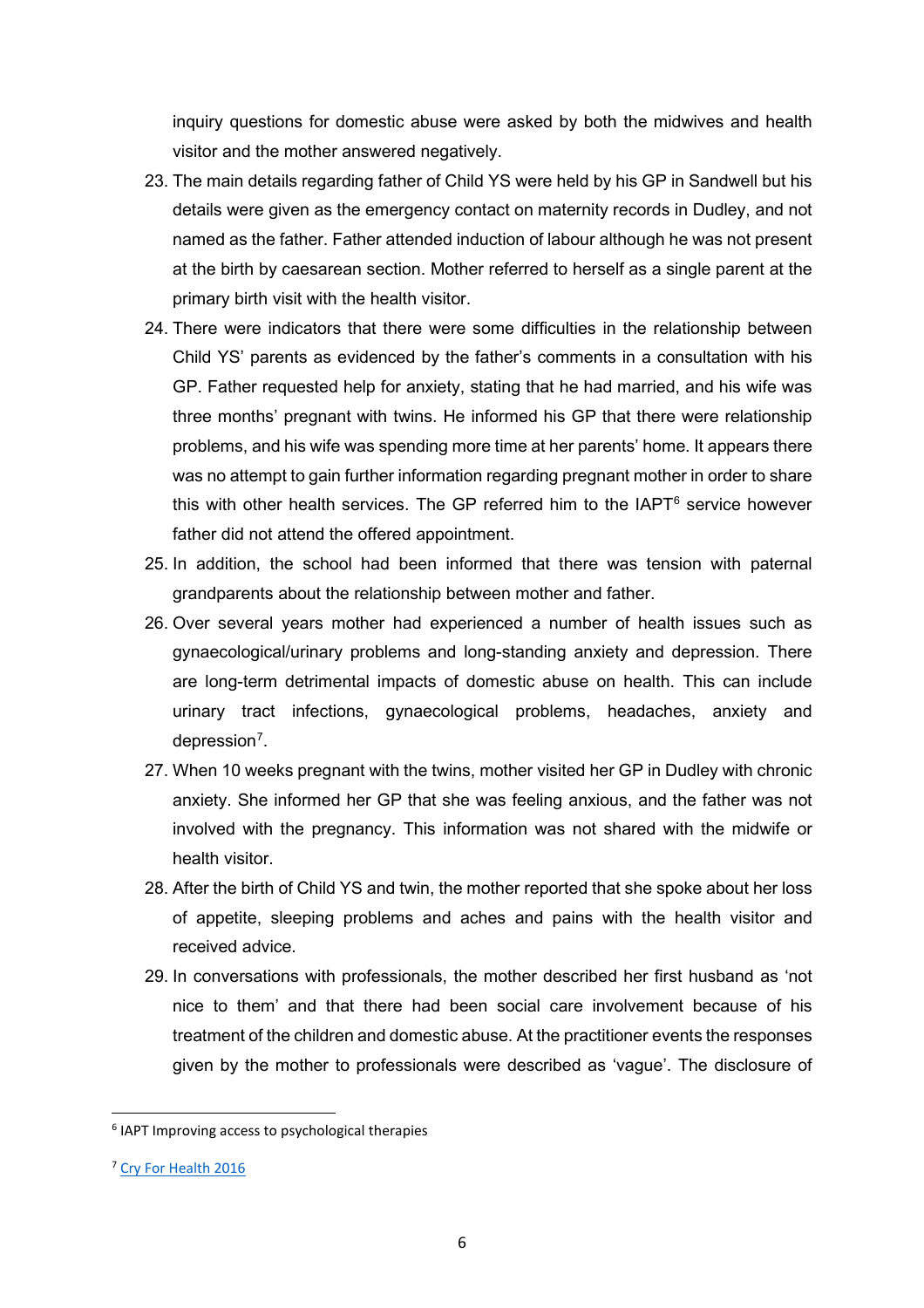inquiry questions for domestic abuse were asked by both the midwives and health visitor and the mother answered negatively.

- 23. The main details regarding father of Child YS were held by his GP in Sandwell but his details were given as the emergency contact on maternity records in Dudley, and not named as the father. Father attended induction of labour although he was not present at the birth by caesarean section. Mother referred to herself as a single parent at the primary birth visit with the health visitor.
- 24. There were indicators that there were some difficulties in the relationship between Child YS' parents as evidenced by the father's comments in a consultation with his GP. Father requested help for anxiety, stating that he had married, and his wife was three months' pregnant with twins. He informed his GP that there were relationship problems, and his wife was spending more time at her parents' home. It appears there was no attempt to gain further information regarding pregnant mother in order to share this with other health services. The GP referred him to the  $IAPT<sup>6</sup>$  $IAPT<sup>6</sup>$  $IAPT<sup>6</sup>$  service however father did not attend the offered appointment.
- 25. In addition, the school had been informed that there was tension with paternal grandparents about the relationship between mother and father.
- 26. Over several years mother had experienced a number of health issues such as gynaecological/urinary problems and long-standing anxiety and depression. There are long-term detrimental impacts of domestic abuse on health. This can include urinary tract infections, gynaecological problems, headaches, anxiety and depression<sup>[7](#page-5-1)</sup>.
- 27. When 10 weeks pregnant with the twins, mother visited her GP in Dudley with chronic anxiety. She informed her GP that she was feeling anxious, and the father was not involved with the pregnancy. This information was not shared with the midwife or health visitor.
- 28. After the birth of Child YS and twin, the mother reported that she spoke about her loss of appetite, sleeping problems and aches and pains with the health visitor and received advice.
- 29. In conversations with professionals, the mother described her first husband as 'not nice to them' and that there had been social care involvement because of his treatment of the children and domestic abuse. At the practitioner events the responses given by the mother to professionals were described as 'vague'. The disclosure of

<span id="page-5-0"></span><sup>6</sup> IAPT Improving access to psychological therapies

<span id="page-5-1"></span><sup>7</sup> [Cry For Health 2016](https://safelives.org.uk/sites/default/files/resources/Cry%20for%20Health%20full%20report.pdf)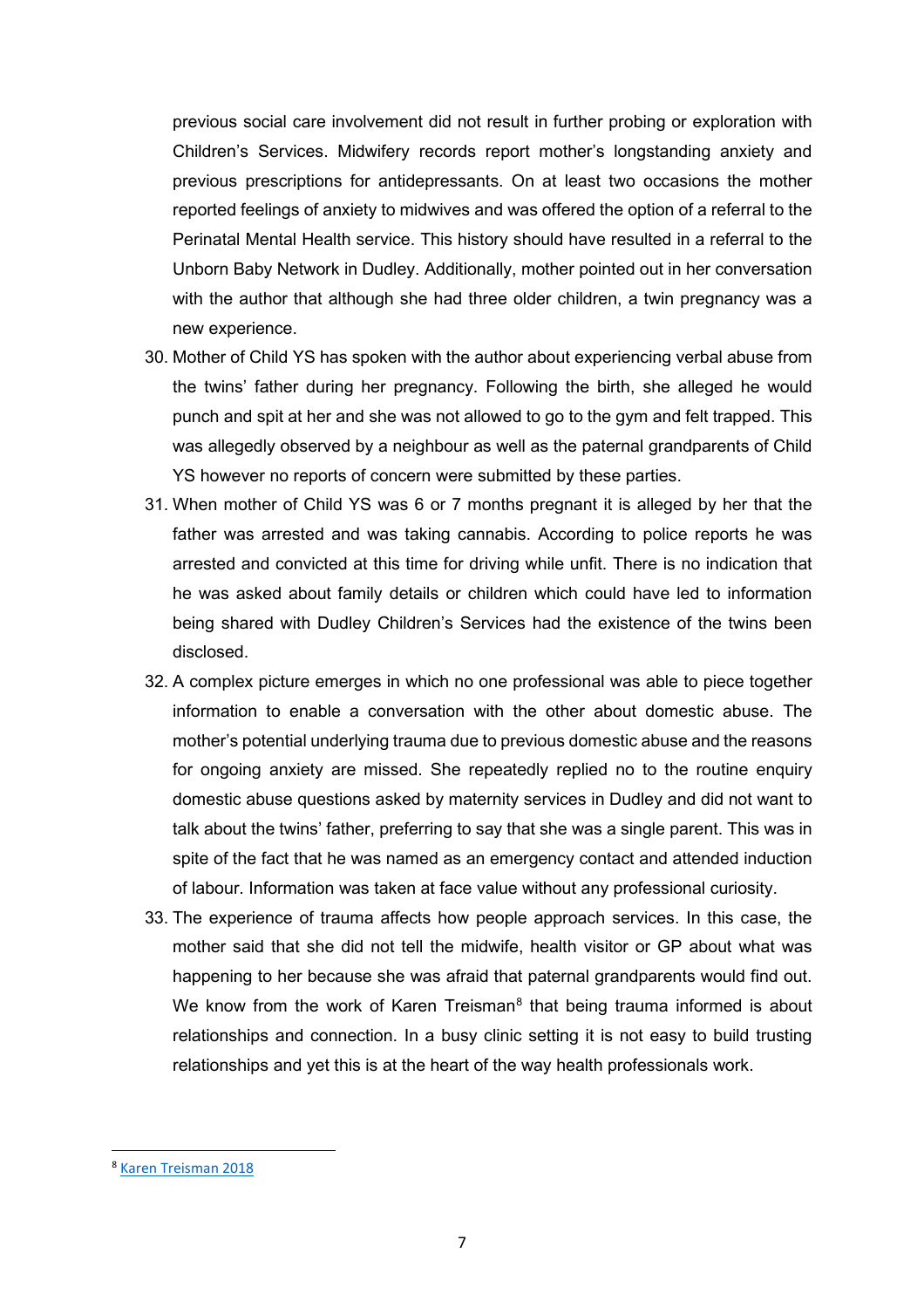previous social care involvement did not result in further probing or exploration with Children's Services. Midwifery records report mother's longstanding anxiety and previous prescriptions for antidepressants. On at least two occasions the mother reported feelings of anxiety to midwives and was offered the option of a referral to the Perinatal Mental Health service. This history should have resulted in a referral to the Unborn Baby Network in Dudley. Additionally, mother pointed out in her conversation with the author that although she had three older children, a twin pregnancy was a new experience.

- 30. Mother of Child YS has spoken with the author about experiencing verbal abuse from the twins' father during her pregnancy. Following the birth, she alleged he would punch and spit at her and she was not allowed to go to the gym and felt trapped. This was allegedly observed by a neighbour as well as the paternal grandparents of Child YS however no reports of concern were submitted by these parties.
- 31. When mother of Child YS was 6 or 7 months pregnant it is alleged by her that the father was arrested and was taking cannabis. According to police reports he was arrested and convicted at this time for driving while unfit. There is no indication that he was asked about family details or children which could have led to information being shared with Dudley Children's Services had the existence of the twins been disclosed.
- 32. A complex picture emerges in which no one professional was able to piece together information to enable a conversation with the other about domestic abuse. The mother's potential underlying trauma due to previous domestic abuse and the reasons for ongoing anxiety are missed. She repeatedly replied no to the routine enquiry domestic abuse questions asked by maternity services in Dudley and did not want to talk about the twins' father, preferring to say that she was a single parent. This was in spite of the fact that he was named as an emergency contact and attended induction of labour. Information was taken at face value without any professional curiosity.
- 33. The experience of trauma affects how people approach services. In this case, the mother said that she did not tell the midwife, health visitor or GP about what was happening to her because she was afraid that paternal grandparents would find out. We know from the work of Karen Treisman $<sup>8</sup>$  $<sup>8</sup>$  $<sup>8</sup>$  that being trauma informed is about</sup> relationships and connection. In a busy clinic setting it is not easy to build trusting relationships and yet this is at the heart of the way health professionals work.

<span id="page-6-0"></span><sup>8</sup> [Karen Treisman 2018](https://www.wcmt.org.uk/sites/default/files/report-documents/Treisman%20K%202018%20Final.pdf)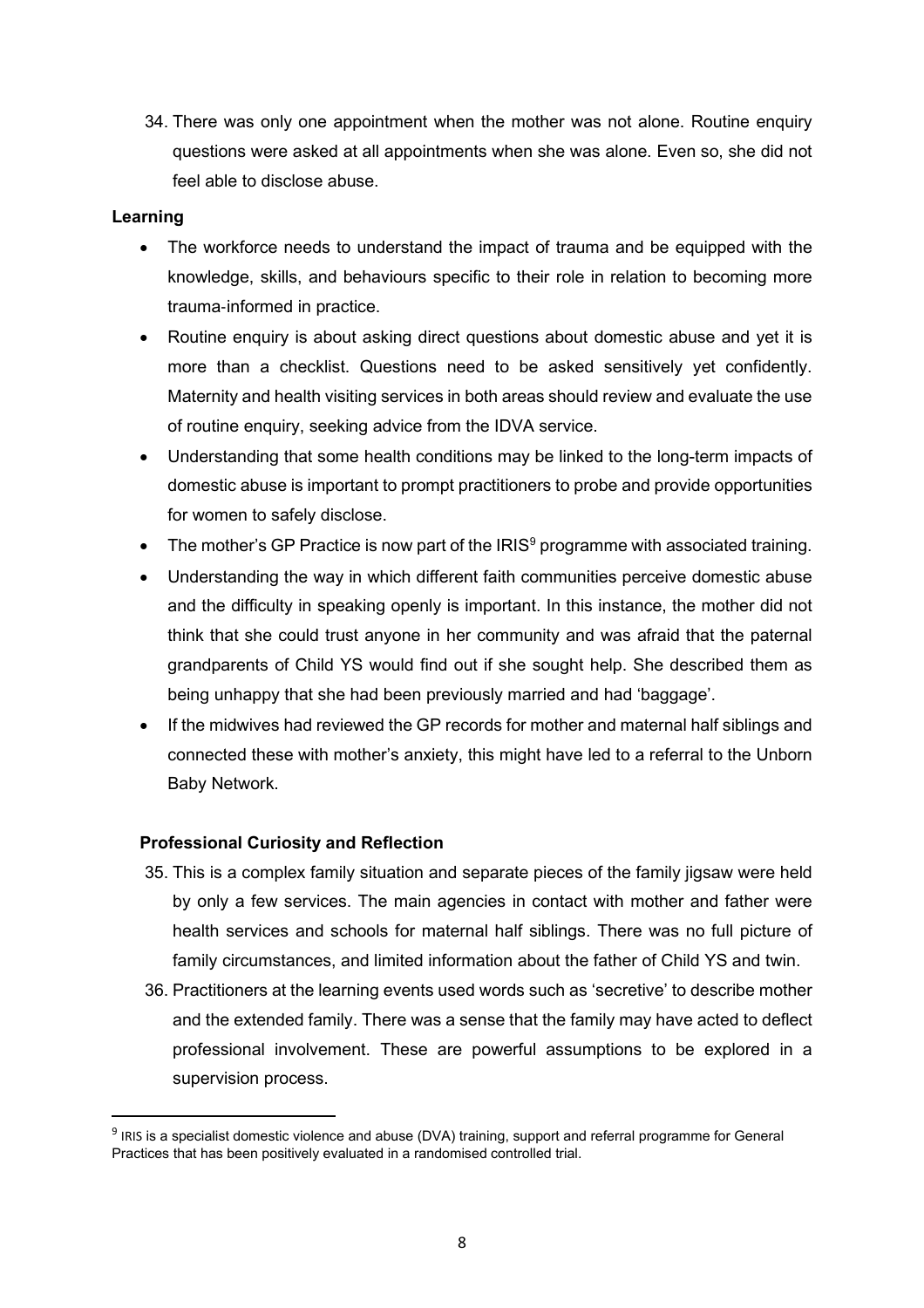34. There was only one appointment when the mother was not alone. Routine enquiry questions were asked at all appointments when she was alone. Even so, she did not feel able to disclose abuse.

## **Learning**

- The workforce needs to understand the impact of trauma and be equipped with the knowledge, skills, and behaviours specific to their role in relation to becoming more trauma‐informed in practice.
- Routine enquiry is about asking direct questions about domestic abuse and yet it is more than a checklist. Questions need to be asked sensitively yet confidently. Maternity and health visiting services in both areas should review and evaluate the use of routine enquiry, seeking advice from the IDVA service.
- Understanding that some health conditions may be linked to the long-term impacts of domestic abuse is important to prompt practitioners to probe and provide opportunities for women to safely disclose.
- The mother's GP Practice is now part of the  $IRIS<sup>9</sup>$  $IRIS<sup>9</sup>$  $IRIS<sup>9</sup>$  programme with associated training.
- Understanding the way in which different faith communities perceive domestic abuse and the difficulty in speaking openly is important. In this instance, the mother did not think that she could trust anyone in her community and was afraid that the paternal grandparents of Child YS would find out if she sought help. She described them as being unhappy that she had been previously married and had 'baggage'.
- If the midwives had reviewed the GP records for mother and maternal half siblings and connected these with mother's anxiety, this might have led to a referral to the Unborn Baby Network.

## **Professional Curiosity and Reflection**

- 35. This is a complex family situation and separate pieces of the family jigsaw were held by only a few services. The main agencies in contact with mother and father were health services and schools for maternal half siblings. There was no full picture of family circumstances, and limited information about the father of Child YS and twin.
- 36. Practitioners at the learning events used words such as 'secretive' to describe mother and the extended family. There was a sense that the family may have acted to deflect professional involvement. These are powerful assumptions to be explored in a supervision process.

<span id="page-7-0"></span><sup>9</sup> IRIS is a specialist domestic violence and abuse (DVA) training, support and referral programme for General Practices that has been positively evaluated in a randomised controlled trial.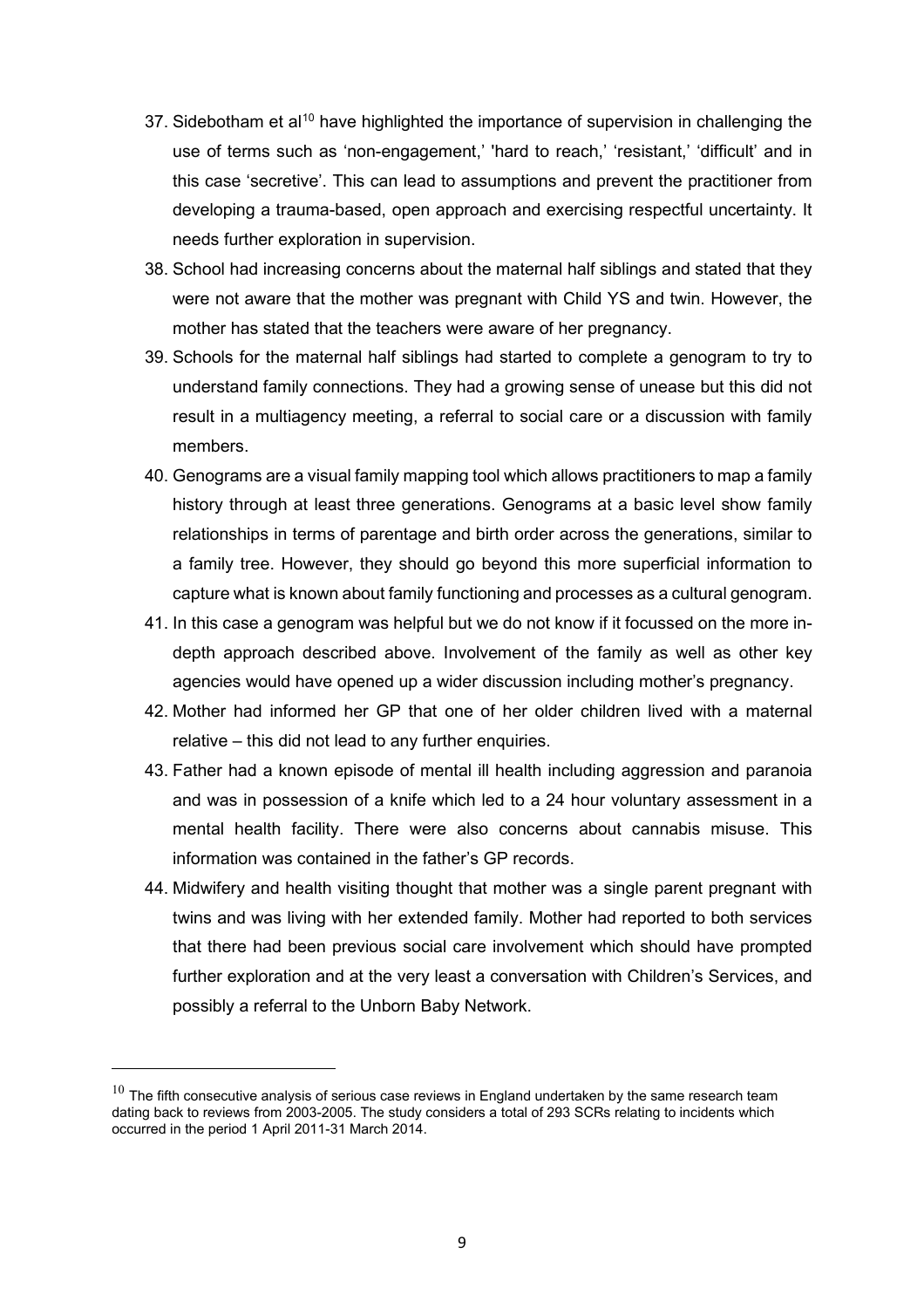- 37. Sidebotham et al<sup>[10](#page-8-0)</sup> have highlighted the importance of supervision in challenging the use of terms such as 'non-engagement,' 'hard to reach,' 'resistant,' 'difficult' and in this case 'secretive'. This can lead to assumptions and prevent the practitioner from developing a trauma-based, open approach and exercising respectful uncertainty. It needs further exploration in supervision.
- 38. School had increasing concerns about the maternal half siblings and stated that they were not aware that the mother was pregnant with Child YS and twin. However, the mother has stated that the teachers were aware of her pregnancy.
- 39. Schools for the maternal half siblings had started to complete a genogram to try to understand family connections. They had a growing sense of unease but this did not result in a multiagency meeting, a referral to social care or a discussion with family members.
- 40. Genograms are a visual family mapping tool which allows practitioners to map a family history through at least three generations. Genograms at a basic level show family relationships in terms of parentage and birth order across the generations, similar to a family tree. However, they should go beyond this more superficial information to capture what is known about family functioning and processes as a cultural genogram.
- 41. In this case a genogram was helpful but we do not know if it focussed on the more indepth approach described above. Involvement of the family as well as other key agencies would have opened up a wider discussion including mother's pregnancy.
- 42. Mother had informed her GP that one of her older children lived with a maternal relative – this did not lead to any further enquiries.
- 43. Father had a known episode of mental ill health including aggression and paranoia and was in possession of a knife which led to a 24 hour voluntary assessment in a mental health facility. There were also concerns about cannabis misuse. This information was contained in the father's GP records.
- 44. Midwifery and health visiting thought that mother was a single parent pregnant with twins and was living with her extended family. Mother had reported to both services that there had been previous social care involvement which should have prompted further exploration and at the very least a conversation with Children's Services, and possibly a referral to the Unborn Baby Network.

<span id="page-8-0"></span> $10$  The fifth consecutive analysis of serious case reviews in England undertaken by the same research team dating back to reviews from 2003-2005. The study considers a total of 293 SCRs relating to incidents which occurred in the period 1 April 2011-31 March 2014.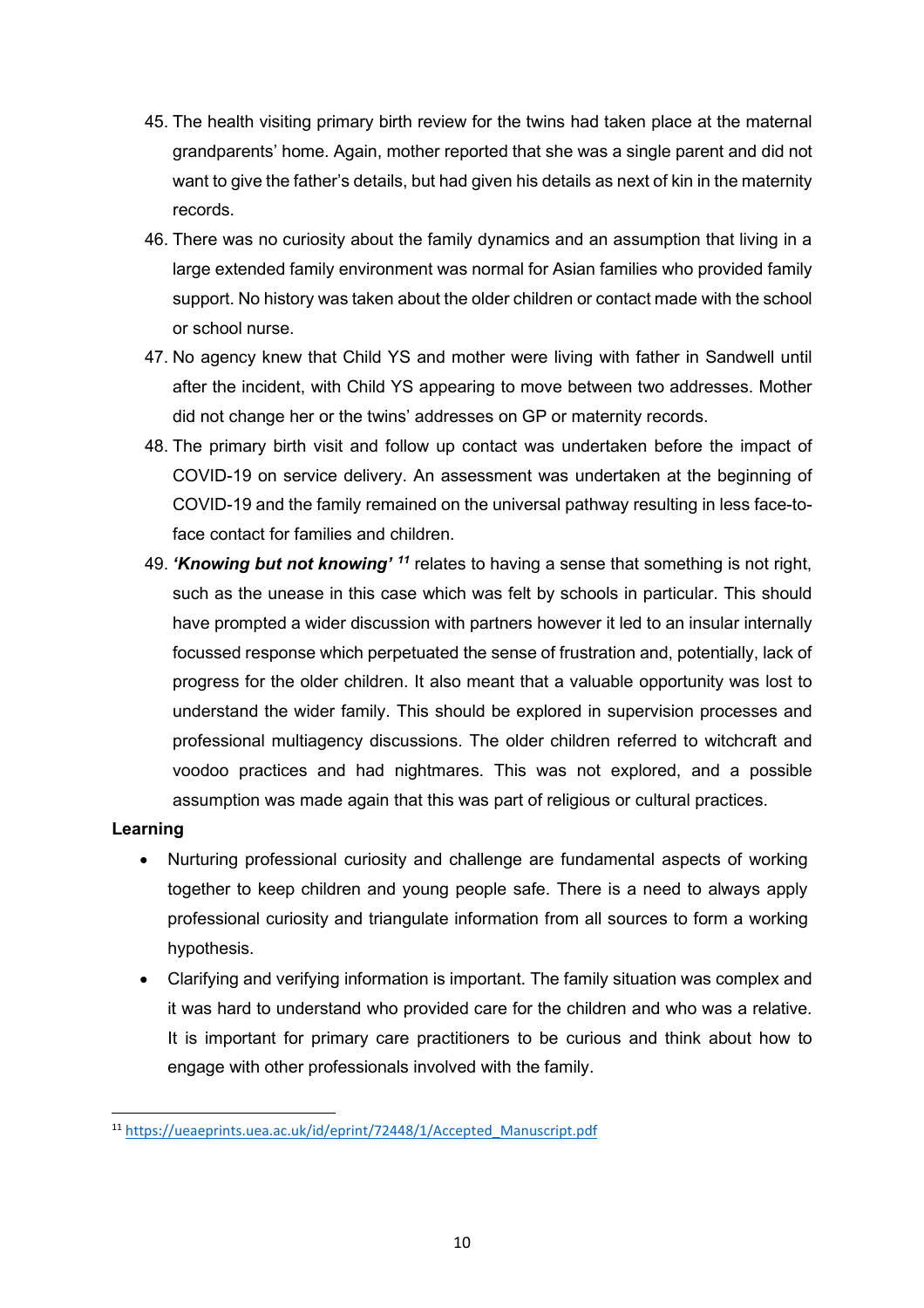- 45. The health visiting primary birth review for the twins had taken place at the maternal grandparents' home. Again, mother reported that she was a single parent and did not want to give the father's details, but had given his details as next of kin in the maternity records.
- 46. There was no curiosity about the family dynamics and an assumption that living in a large extended family environment was normal for Asian families who provided family support. No history was taken about the older children or contact made with the school or school nurse.
- 47. No agency knew that Child YS and mother were living with father in Sandwell until after the incident, with Child YS appearing to move between two addresses. Mother did not change her or the twins' addresses on GP or maternity records.
- 48. The primary birth visit and follow up contact was undertaken before the impact of COVID-19 on service delivery. An assessment was undertaken at the beginning of COVID-19 and the family remained on the universal pathway resulting in less face-toface contact for families and children.
- 49. *'Knowing but not knowing' [11](#page-9-0)* relates to having a sense that something is not right, such as the unease in this case which was felt by schools in particular. This should have prompted a wider discussion with partners however it led to an insular internally focussed response which perpetuated the sense of frustration and, potentially, lack of progress for the older children. It also meant that a valuable opportunity was lost to understand the wider family. This should be explored in supervision processes and professional multiagency discussions. The older children referred to witchcraft and voodoo practices and had nightmares. This was not explored, and a possible assumption was made again that this was part of religious or cultural practices.

- Nurturing professional curiosity and challenge are fundamental aspects of working together to keep children and young people safe. There is a need to always apply professional curiosity and triangulate information from all sources to form a working hypothesis.
- Clarifying and verifying information is important. The family situation was complex and it was hard to understand who provided care for the children and who was a relative. It is important for primary care practitioners to be curious and think about how to engage with other professionals involved with the family.

<span id="page-9-0"></span><sup>11</sup> [https://ueaeprints.uea.ac.uk/id/eprint/72448/1/Accepted\\_Manuscript.pdf](https://ueaeprints.uea.ac.uk/id/eprint/72448/1/Accepted_Manuscript.pdf)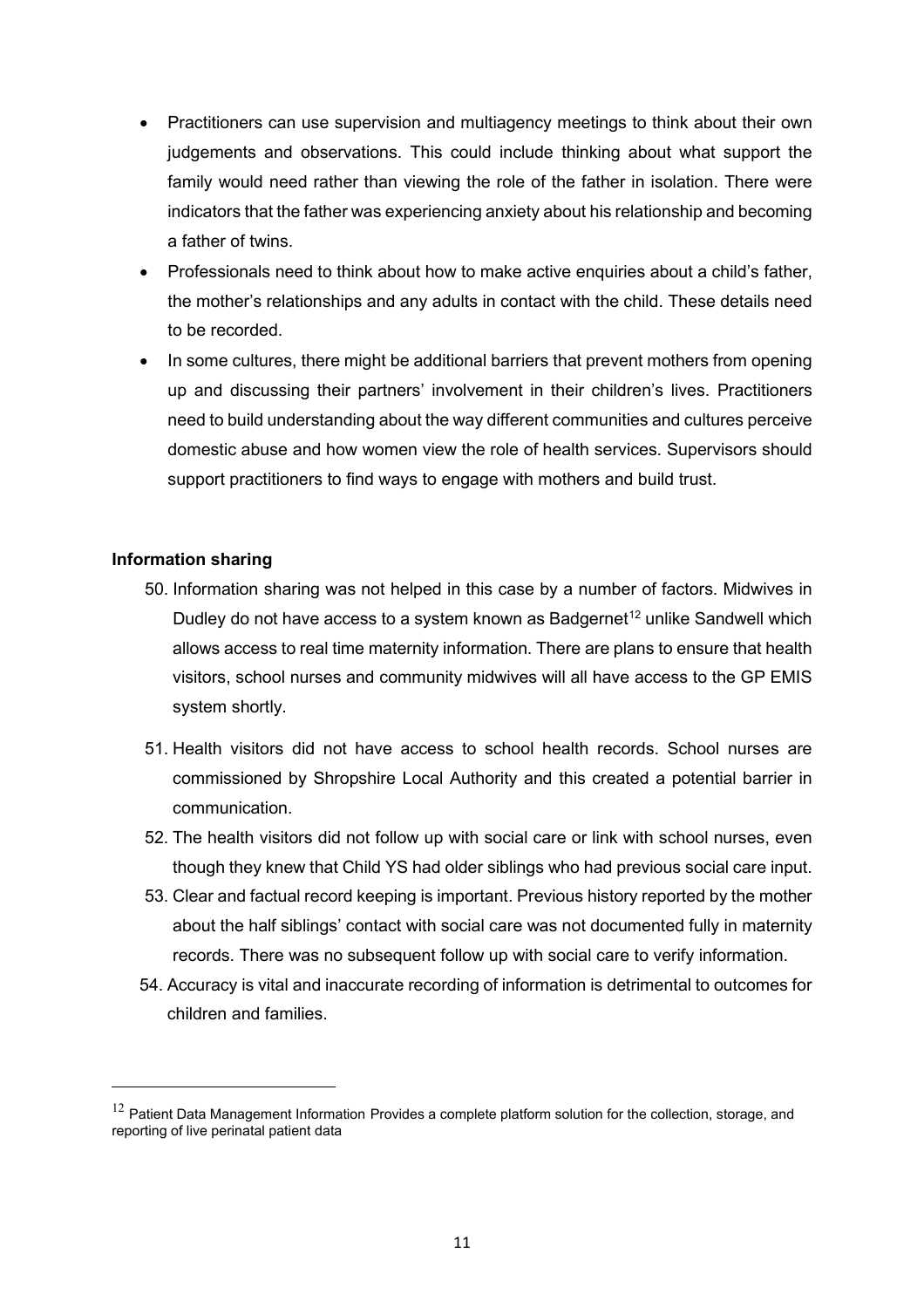- Practitioners can use supervision and multiagency meetings to think about their own judgements and observations. This could include thinking about what support the family would need rather than viewing the role of the father in isolation. There were indicators that the father was experiencing anxiety about his relationship and becoming a father of twins.
- Professionals need to think about how to make active enquiries about a child's father, the mother's relationships and any adults in contact with the child. These details need to be recorded.
- In some cultures, there might be additional barriers that prevent mothers from opening up and discussing their partners' involvement in their children's lives. Practitioners need to build understanding about the way different communities and cultures perceive domestic abuse and how women view the role of health services. Supervisors should support practitioners to find ways to engage with mothers and build trust.

## **Information sharing**

- 50. Information sharing was not helped in this case by a number of factors. Midwives in Dudley do not have access to a system known as Badgernet<sup>[12](#page-10-0)</sup> unlike Sandwell which allows access to real time maternity information. There are plans to ensure that health visitors, school nurses and community midwives will all have access to the GP EMIS system shortly.
- 51. Health visitors did not have access to school health records. School nurses are commissioned by Shropshire Local Authority and this created a potential barrier in communication.
- 52. The health visitors did not follow up with social care or link with school nurses, even though they knew that Child YS had older siblings who had previous social care input.
- 53. Clear and factual record keeping is important. Previous history reported by the mother about the half siblings' contact with social care was not documented fully in maternity records. There was no subsequent follow up with social care to verify information.
- 54. Accuracy is vital and inaccurate recording of information is detrimental to outcomes for children and families.

<span id="page-10-0"></span> $12$  Patient Data Management Information Provides a complete platform solution for the collection, storage, and reporting of live perinatal patient data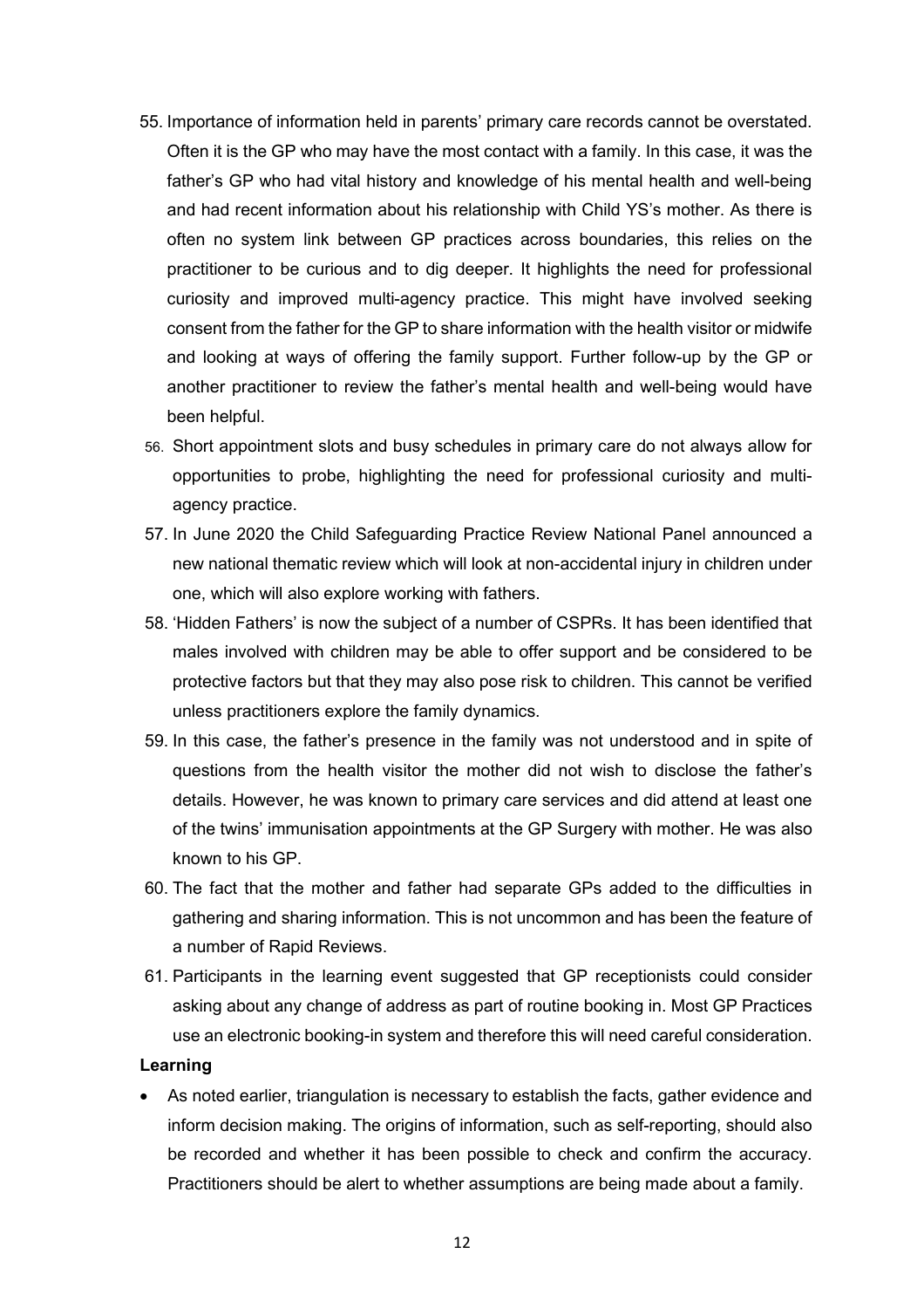- 55. Importance of information held in parents' primary care records cannot be overstated. Often it is the GP who may have the most contact with a family. In this case, it was the father's GP who had vital history and knowledge of his mental health and well-being and had recent information about his relationship with Child YS's mother. As there is often no system link between GP practices across boundaries, this relies on the practitioner to be curious and to dig deeper. It highlights the need for professional curiosity and improved multi-agency practice. This might have involved seeking consent from the father for the GP to share information with the health visitor or midwife and looking at ways of offering the family support. Further follow-up by the GP or another practitioner to review the father's mental health and well-being would have been helpful.
- 56. Short appointment slots and busy schedules in primary care do not always allow for opportunities to probe, highlighting the need for professional curiosity and multiagency practice.
- 57. In June 2020 the Child Safeguarding Practice Review National Panel announced a new national thematic review which will look at non-accidental injury in children under one, which will also explore working with fathers.
- 58. 'Hidden Fathers' is now the subject of a number of CSPRs. It has been identified that males involved with children may be able to offer support and be considered to be protective factors but that they may also pose risk to children. This cannot be verified unless practitioners explore the family dynamics.
- 59. In this case, the father's presence in the family was not understood and in spite of questions from the health visitor the mother did not wish to disclose the father's details. However, he was known to primary care services and did attend at least one of the twins' immunisation appointments at the GP Surgery with mother. He was also known to his GP.
- 60. The fact that the mother and father had separate GPs added to the difficulties in gathering and sharing information. This is not uncommon and has been the feature of a number of Rapid Reviews.
- 61. Participants in the learning event suggested that GP receptionists could consider asking about any change of address as part of routine booking in. Most GP Practices use an electronic booking-in system and therefore this will need careful consideration.

• As noted earlier, triangulation is necessary to establish the facts, gather evidence and inform decision making. The origins of information, such as self-reporting, should also be recorded and whether it has been possible to check and confirm the accuracy. Practitioners should be alert to whether assumptions are being made about a family.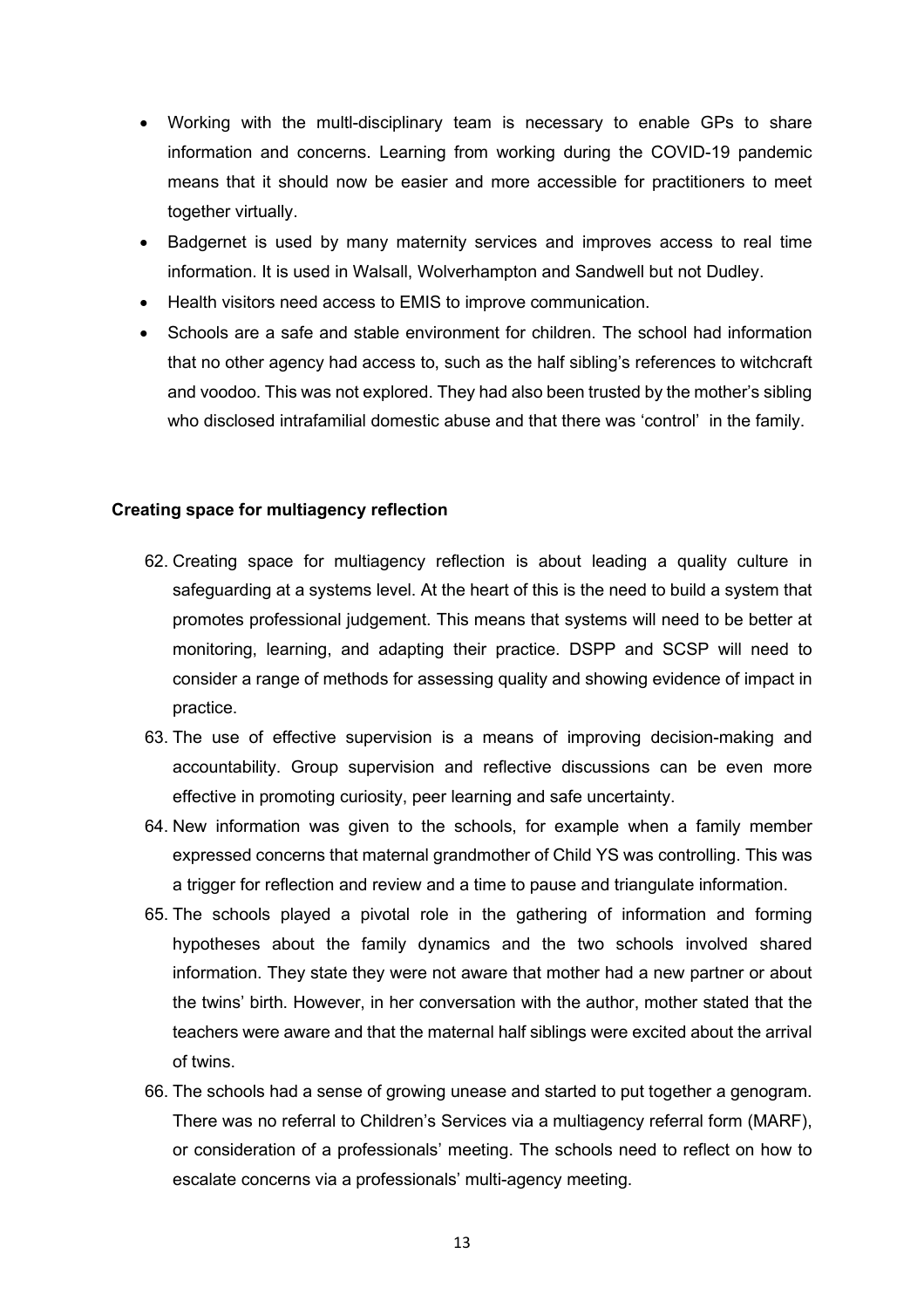- Working with the multl-disciplinary team is necessary to enable GPs to share information and concerns. Learning from working during the COVID-19 pandemic means that it should now be easier and more accessible for practitioners to meet together virtually.
- Badgernet is used by many maternity services and improves access to real time information. It is used in Walsall, Wolverhampton and Sandwell but not Dudley.
- Health visitors need access to EMIS to improve communication.
- Schools are a safe and stable environment for children. The school had information that no other agency had access to, such as the half sibling's references to witchcraft and voodoo. This was not explored. They had also been trusted by the mother's sibling who disclosed intrafamilial domestic abuse and that there was 'control' in the family.

#### **Creating space for multiagency reflection**

- 62. Creating space for multiagency reflection is about leading a quality culture in safeguarding at a systems level. At the heart of this is the need to build a system that promotes professional judgement. This means that systems will need to be better at monitoring, learning, and adapting their practice. DSPP and SCSP will need to consider a range of methods for assessing quality and showing evidence of impact in practice.
- 63. The use of effective supervision is a means of improving decision-making and accountability. Group supervision and reflective discussions can be even more effective in promoting curiosity, peer learning and safe uncertainty.
- 64. New information was given to the schools, for example when a family member expressed concerns that maternal grandmother of Child YS was controlling. This was a trigger for reflection and review and a time to pause and triangulate information.
- 65. The schools played a pivotal role in the gathering of information and forming hypotheses about the family dynamics and the two schools involved shared information. They state they were not aware that mother had a new partner or about the twins' birth. However, in her conversation with the author, mother stated that the teachers were aware and that the maternal half siblings were excited about the arrival of twins.
- 66. The schools had a sense of growing unease and started to put together a genogram. There was no referral to Children's Services via a multiagency referral form (MARF), or consideration of a professionals' meeting. The schools need to reflect on how to escalate concerns via a professionals' multi-agency meeting.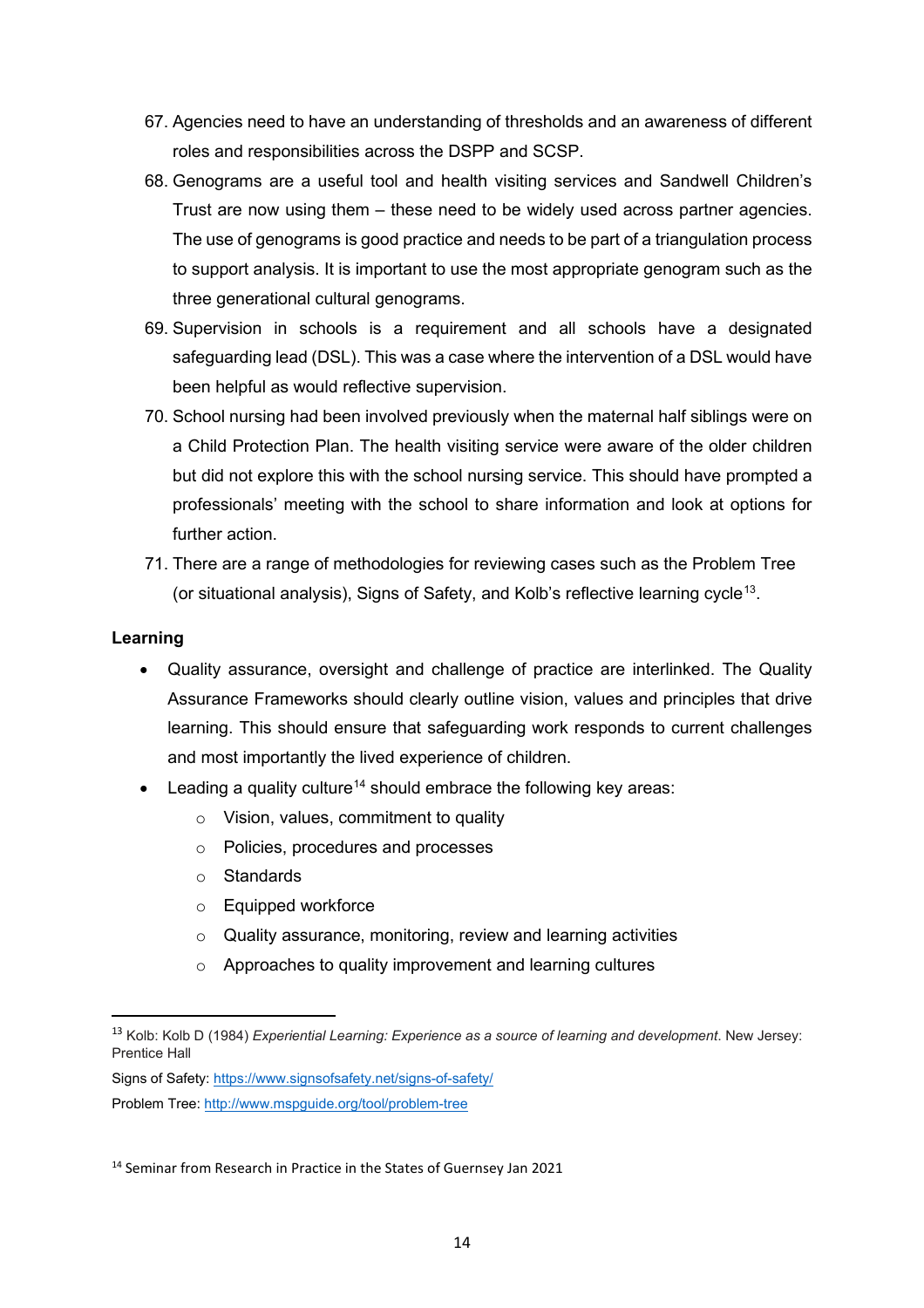- 67. Agencies need to have an understanding of thresholds and an awareness of different roles and responsibilities across the DSPP and SCSP.
- 68. Genograms are a useful tool and health visiting services and Sandwell Children's Trust are now using them – these need to be widely used across partner agencies. The use of genograms is good practice and needs to be part of a triangulation process to support analysis. It is important to use the most appropriate genogram such as the three generational cultural genograms.
- 69. Supervision in schools is a requirement and all schools have a designated safeguarding lead (DSL). This was a case where the intervention of a DSL would have been helpful as would reflective supervision.
- 70. School nursing had been involved previously when the maternal half siblings were on a Child Protection Plan. The health visiting service were aware of the older children but did not explore this with the school nursing service. This should have prompted a professionals' meeting with the school to share information and look at options for further action.
- 71. There are a range of methodologies for reviewing cases such as the Problem Tree (or situational analysis), Signs of Safety, and Kolb's reflective learning cycle[13.](#page-13-0)

- Quality assurance, oversight and challenge of practice are interlinked. The Quality Assurance Frameworks should clearly outline vision, values and principles that drive learning. This should ensure that safeguarding work responds to current challenges and most importantly the lived experience of children.
- Leading a quality culture<sup>[14](#page-13-1)</sup> should embrace the following key areas:
	- o Vision, values, commitment to quality
	- o Policies, procedures and processes
	- o Standards
	- o Equipped workforce
	- o Quality assurance, monitoring, review and learning activities
	- o Approaches to quality improvement and learning cultures

<span id="page-13-0"></span><sup>13</sup> Kolb: Kolb D (1984) *Experiential Learning: Experience as a source of learning and development*. New Jersey: Prentice Hall

Signs of Safety[: https://www.signsofsafety.net/signs-of-safety/](https://www.signsofsafety.net/signs-of-safety/)

Problem Tree[: http://www.mspguide.org/tool/problem-tree](http://www.mspguide.org/tool/problem-tree)

<span id="page-13-1"></span><sup>&</sup>lt;sup>14</sup> Seminar from Research in Practice in the States of Guernsey Jan 2021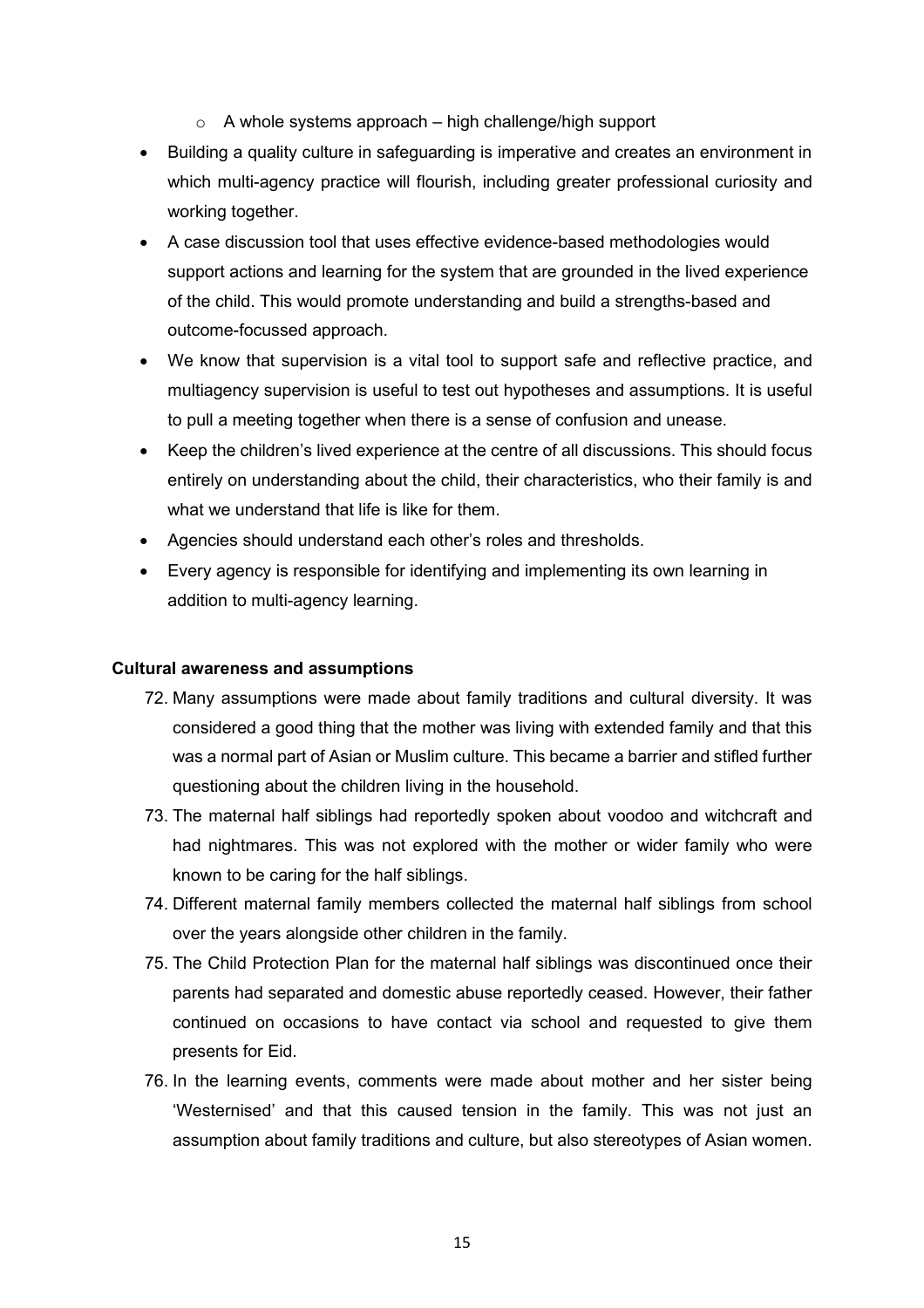$\circ$  A whole systems approach – high challenge/high support

- Building a quality culture in safeguarding is imperative and creates an environment in which multi-agency practice will flourish, including greater professional curiosity and working together.
- A case discussion tool that uses effective evidence-based methodologies would support actions and learning for the system that are grounded in the lived experience of the child. This would promote understanding and build a strengths-based and outcome-focussed approach.
- We know that supervision is a vital tool to support safe and reflective practice, and multiagency supervision is useful to test out hypotheses and assumptions. It is useful to pull a meeting together when there is a sense of confusion and unease.
- Keep the children's lived experience at the centre of all discussions. This should focus entirely on understanding about the child, their characteristics, who their family is and what we understand that life is like for them.
- Agencies should understand each other's roles and thresholds.
- Every agency is responsible for identifying and implementing its own learning in addition to multi-agency learning.

## **Cultural awareness and assumptions**

- 72. Many assumptions were made about family traditions and cultural diversity. It was considered a good thing that the mother was living with extended family and that this was a normal part of Asian or Muslim culture. This became a barrier and stifled further questioning about the children living in the household.
- 73. The maternal half siblings had reportedly spoken about voodoo and witchcraft and had nightmares. This was not explored with the mother or wider family who were known to be caring for the half siblings.
- 74. Different maternal family members collected the maternal half siblings from school over the years alongside other children in the family.
- 75. The Child Protection Plan for the maternal half siblings was discontinued once their parents had separated and domestic abuse reportedly ceased. However, their father continued on occasions to have contact via school and requested to give them presents for Eid.
- 76. In the learning events, comments were made about mother and her sister being 'Westernised' and that this caused tension in the family. This was not just an assumption about family traditions and culture, but also stereotypes of Asian women.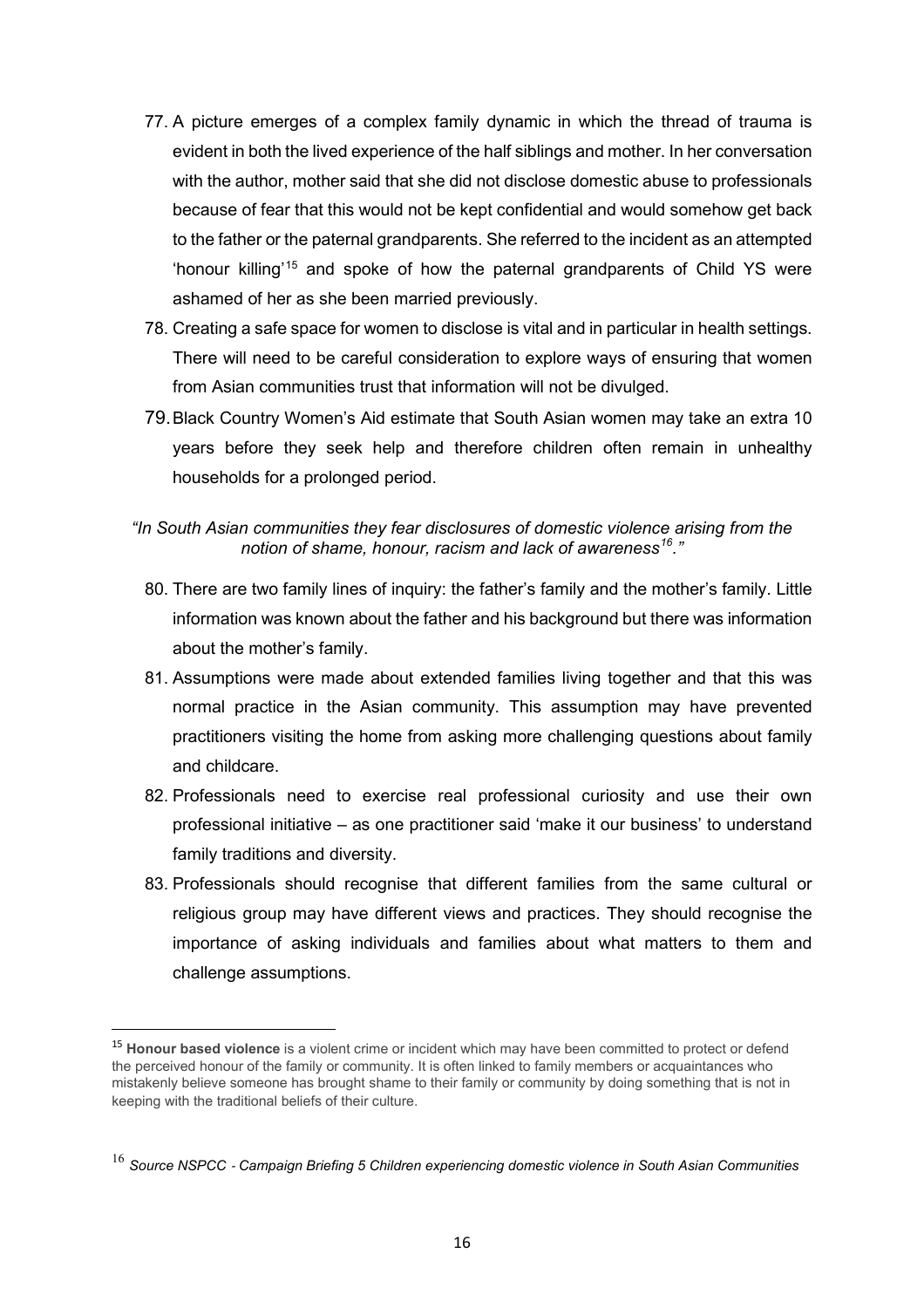- 77. A picture emerges of a complex family dynamic in which the thread of trauma is evident in both the lived experience of the half siblings and mother. In her conversation with the author, mother said that she did not disclose domestic abuse to professionals because of fear that this would not be kept confidential and would somehow get back to the father or the paternal grandparents. She referred to the incident as an attempted 'honour killing'[15](#page-15-0) and spoke of how the paternal grandparents of Child YS were ashamed of her as she been married previously.
- 78. Creating a safe space for women to disclose is vital and in particular in health settings. There will need to be careful consideration to explore ways of ensuring that women from Asian communities trust that information will not be divulged.
- 79.Black Country Women's Aid estimate that South Asian women may take an extra 10 years before they seek help and therefore children often remain in unhealthy households for a prolonged period.

## *"In South Asian communities they fear disclosures of domestic violence arising from the notion of shame, honour, racism and lack of awareness[16.](#page-15-1)"*

- 80. There are two family lines of inquiry: the father's family and the mother's family. Little information was known about the father and his background but there was information about the mother's family.
- 81. Assumptions were made about extended families living together and that this was normal practice in the Asian community. This assumption may have prevented practitioners visiting the home from asking more challenging questions about family and childcare.
- 82. Professionals need to exercise real professional curiosity and use their own professional initiative – as one practitioner said 'make it our business' to understand family traditions and diversity.
- 83. Professionals should recognise that different families from the same cultural or religious group may have different views and practices. They should recognise the importance of asking individuals and families about what matters to them and challenge assumptions.

<span id="page-15-0"></span><sup>15</sup> **Honour based violence** is a violent crime or incident which may have been committed to protect or defend the perceived honour of the family or community. It is often linked to family members or acquaintances who mistakenly believe someone has brought shame to their family or community by doing something that is not in keeping with the traditional beliefs of their culture.

<span id="page-15-1"></span><sup>16</sup> *Source NSPCC* ‐ *Campaign Briefing 5 Children experiencing domestic violence in South Asian Communities*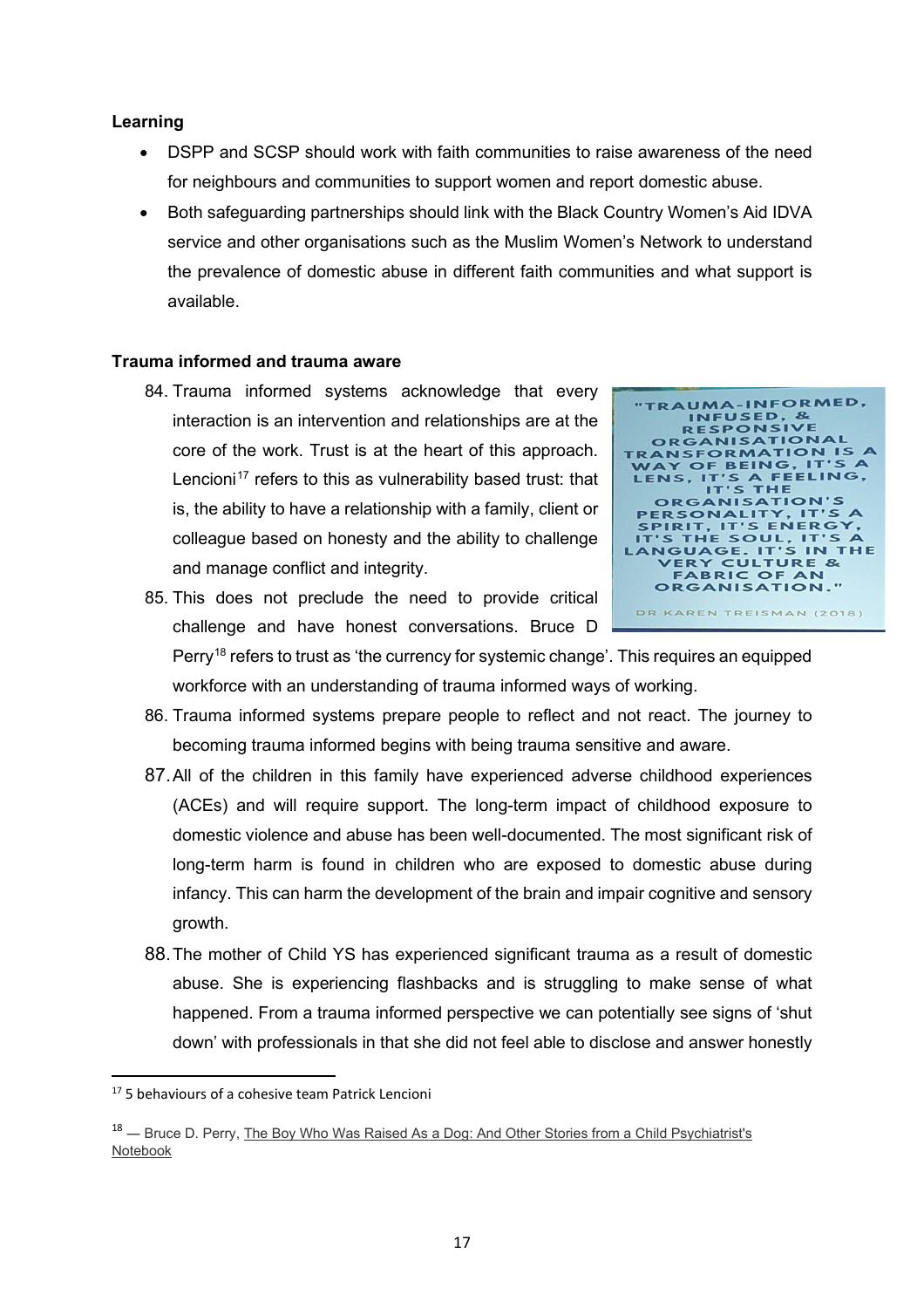- DSPP and SCSP should work with faith communities to raise awareness of the need for neighbours and communities to support women and report domestic abuse.
- Both safeguarding partnerships should link with the Black Country Women's Aid IDVA service and other organisations such as the Muslim Women's Network to understand the prevalence of domestic abuse in different faith communities and what support is available.

## **Trauma informed and trauma aware**

84. Trauma informed systems acknowledge that every interaction is an intervention and relationships are at the core of the work. Trust is at the heart of this approach. Lencioni<sup>[17](#page-16-0)</sup> refers to this as vulnerability based trust: that is, the ability to have a relationship with a family, client or colleague based on honesty and the ability to challenge and manage conflict and integrity.



- 85. This does not preclude the need to provide critical challenge and have honest conversations. Bruce D Perry<sup>[18](#page-16-1)</sup> refers to trust as 'the currency for systemic change'. This requires an equipped workforce with an understanding of trauma informed ways of working.
	- 86. Trauma informed systems prepare people to reflect and not react. The journey to becoming trauma informed begins with being trauma sensitive and aware.
	- 87.All of the children in this family have experienced adverse childhood experiences (ACEs) and will require support. The long-term impact of childhood exposure to domestic violence and abuse has been well-documented. The most significant risk of long-term harm is found in children who are exposed to domestic abuse during infancy. This can harm the development of the brain and impair cognitive and sensory growth.
	- 88.The mother of Child YS has experienced significant trauma as a result of domestic abuse. She is experiencing flashbacks and is struggling to make sense of what happened. From a trauma informed perspective we can potentially see signs of 'shut down' with professionals in that she did not feel able to disclose and answer honestly

<span id="page-16-0"></span><sup>&</sup>lt;sup>17</sup> 5 behaviours of a cohesive team Patrick Lencioni

<span id="page-16-1"></span><sup>&</sup>lt;sup>18</sup> — Bruce D. Perry, The Boy Who Was Raised As a Dog: And Other Stories from a Child Psychiatrist's [Notebook](https://www.goodreads.com/work/quotes/125120)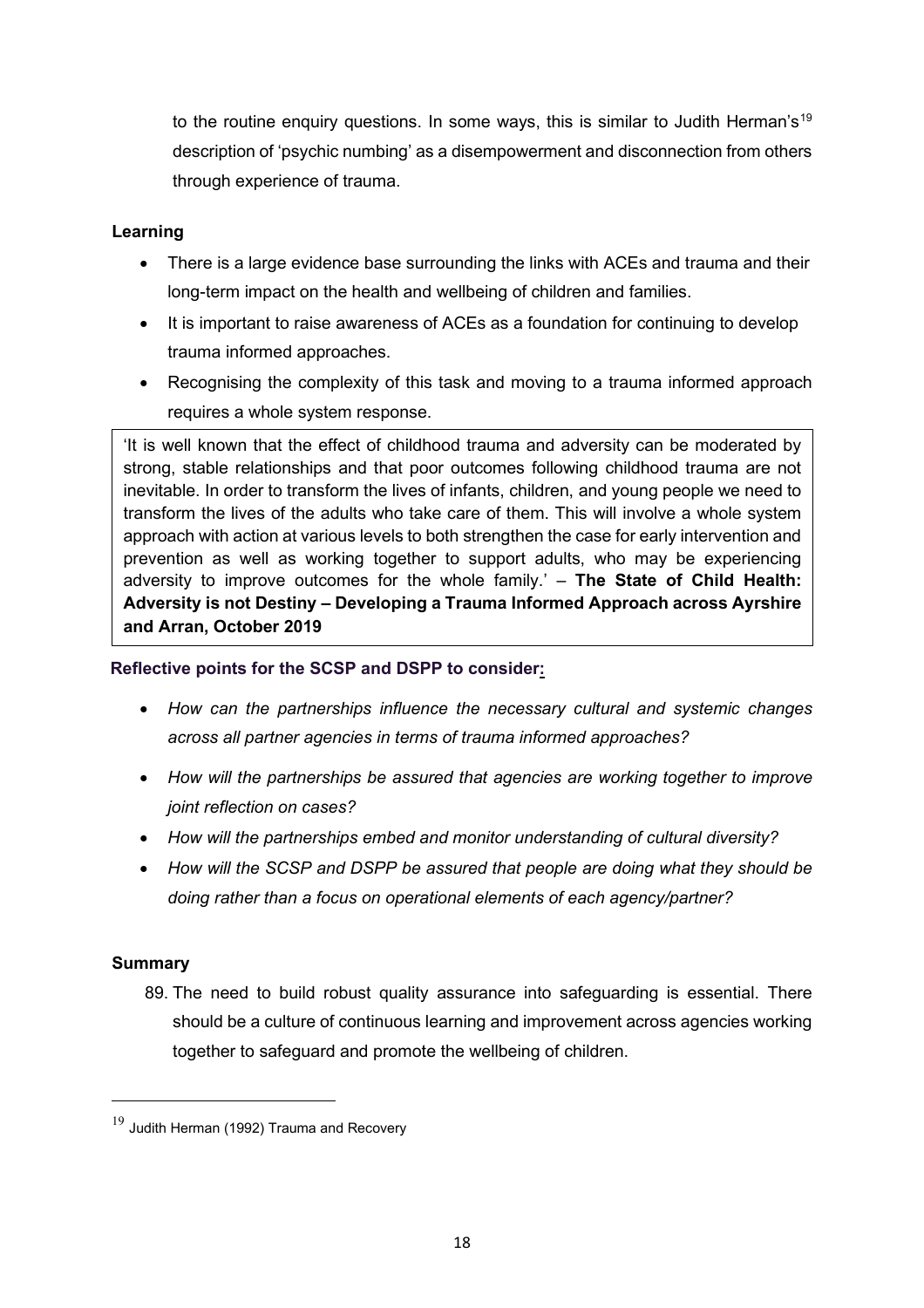to the routine enquiry questions. In some ways, this is similar to Judith Herman's<sup>[19](#page-17-0)</sup> description of 'psychic numbing' as a disempowerment and disconnection from others through experience of trauma.

## **Learning**

- There is a large evidence base surrounding the links with ACEs and trauma and their long-term impact on the health and wellbeing of children and families.
- It is important to raise awareness of ACEs as a foundation for continuing to develop trauma informed approaches.
- Recognising the complexity of this task and moving to a trauma informed approach requires a whole system response.

'It is well known that the effect of childhood trauma and adversity can be moderated by strong, stable relationships and that poor outcomes following childhood trauma are not inevitable. In order to transform the lives of infants, children, and young people we need to transform the lives of the adults who take care of them. This will involve a whole system approach with action at various levels to both strengthen the case for early intervention and prevention as well as working together to support adults, who may be experiencing adversity to improve outcomes for the whole family.' – **The State of Child Health: Adversity is not Destiny – Developing a Trauma Informed Approach across Ayrshire and Arran, October 2019**

## **Reflective points for the SCSP and DSPP to consider:**

- *How can the partnerships influence the necessary cultural and systemic changes across all partner agencies in terms of trauma informed approaches?*
- *How will the partnerships be assured that agencies are working together to improve joint reflection on cases?*
- *How will the partnerships embed and monitor understanding of cultural diversity?*
- *How will the SCSP and DSPP be assured that people are doing what they should be doing rather than a focus on operational elements of each agency/partner?*

## **Summary**

89. The need to build robust quality assurance into safeguarding is essential. There should be a culture of continuous learning and improvement across agencies working together to safeguard and promote the wellbeing of children.

<span id="page-17-0"></span> $19$  Judith Herman (1992) Trauma and Recovery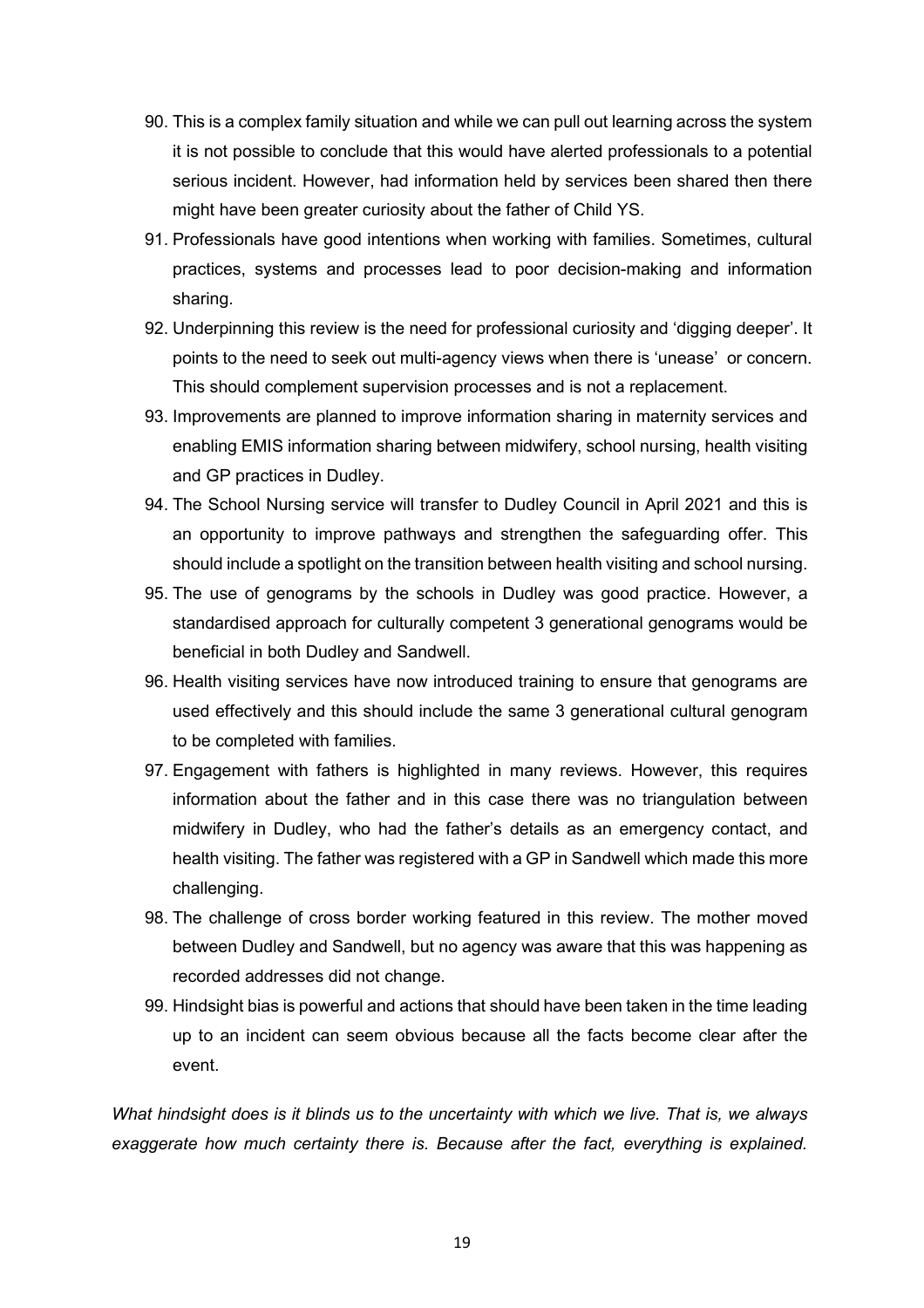- 90. This is a complex family situation and while we can pull out learning across the system it is not possible to conclude that this would have alerted professionals to a potential serious incident. However, had information held by services been shared then there might have been greater curiosity about the father of Child YS.
- 91. Professionals have good intentions when working with families. Sometimes, cultural practices, systems and processes lead to poor decision-making and information sharing.
- 92. Underpinning this review is the need for professional curiosity and 'digging deeper'. It points to the need to seek out multi-agency views when there is 'unease' or concern. This should complement supervision processes and is not a replacement.
- 93. Improvements are planned to improve information sharing in maternity services and enabling EMIS information sharing between midwifery, school nursing, health visiting and GP practices in Dudley.
- 94. The School Nursing service will transfer to Dudley Council in April 2021 and this is an opportunity to improve pathways and strengthen the safeguarding offer. This should include a spotlight on the transition between health visiting and school nursing.
- 95. The use of genograms by the schools in Dudley was good practice. However, a standardised approach for culturally competent 3 generational genograms would be beneficial in both Dudley and Sandwell.
- 96. Health visiting services have now introduced training to ensure that genograms are used effectively and this should include the same 3 generational cultural genogram to be completed with families.
- 97. Engagement with fathers is highlighted in many reviews. However, this requires information about the father and in this case there was no triangulation between midwifery in Dudley, who had the father's details as an emergency contact, and health visiting. The father was registered with a GP in Sandwell which made this more challenging.
- 98. The challenge of cross border working featured in this review. The mother moved between Dudley and Sandwell, but no agency was aware that this was happening as recorded addresses did not change.
- 99. Hindsight bias is powerful and actions that should have been taken in the time leading up to an incident can seem obvious because all the facts become clear after the event.

*What hindsight does is it blinds us to the uncertainty with which we live. That is, we always exaggerate how much certainty there is. Because after the fact, everything is explained.*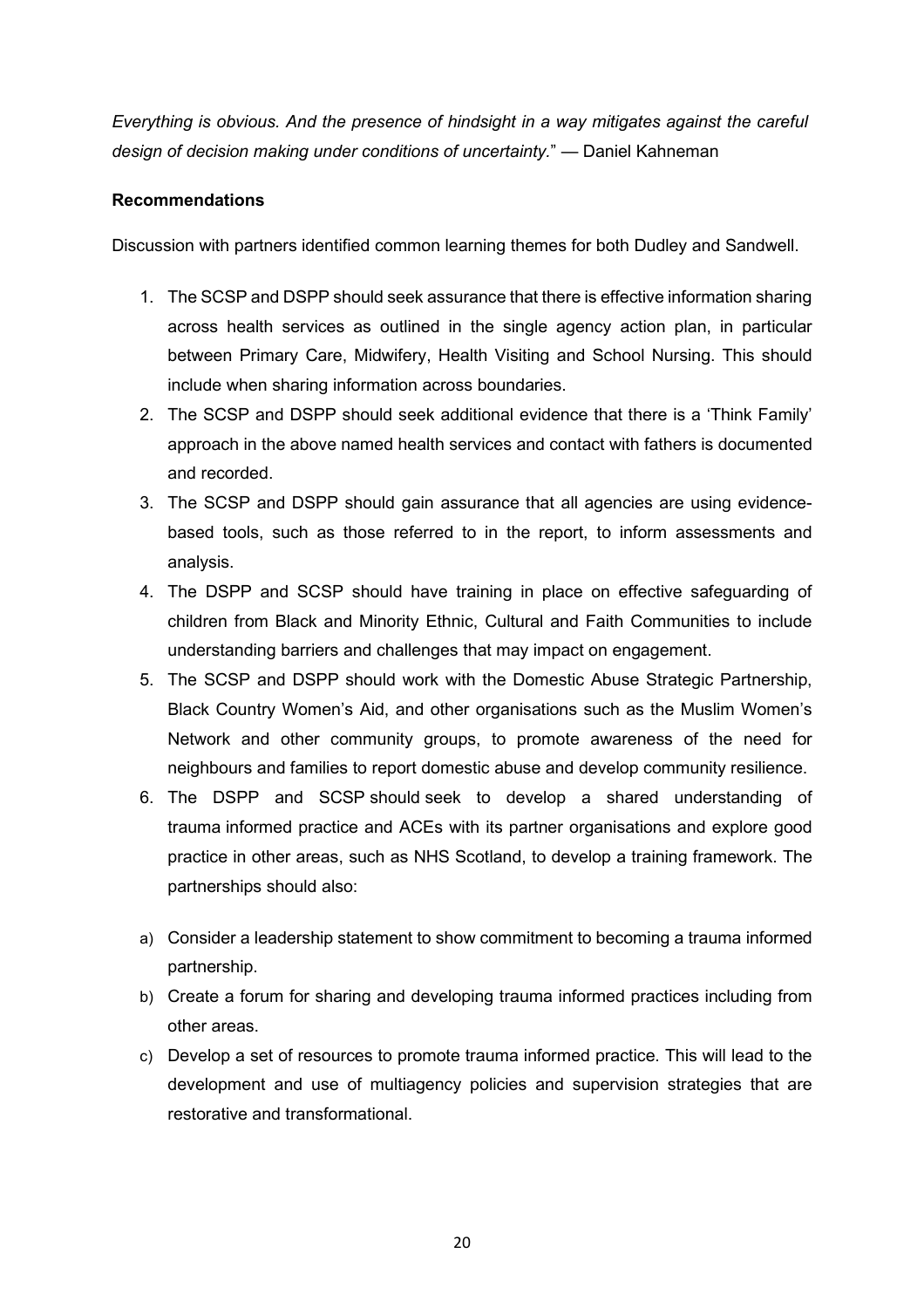*Everything is obvious. And the presence of hindsight in a way mitigates against the careful design of decision making under conditions of uncertainty.*" — Daniel Kahneman

## **Recommendations**

Discussion with partners identified common learning themes for both Dudley and Sandwell.

- 1. The SCSP and DSPP should seek assurance that there is effective information sharing across health services as outlined in the single agency action plan, in particular between Primary Care, Midwifery, Health Visiting and School Nursing. This should include when sharing information across boundaries.
- 2. The SCSP and DSPP should seek additional evidence that there is a 'Think Family' approach in the above named health services and contact with fathers is documented and recorded.
- 3. The SCSP and DSPP should gain assurance that all agencies are using evidencebased tools, such as those referred to in the report, to inform assessments and analysis.
- 4. The DSPP and SCSP should have training in place on effective safeguarding of children from Black and Minority Ethnic, Cultural and Faith Communities to include understanding barriers and challenges that may impact on engagement.
- 5. The SCSP and DSPP should work with the Domestic Abuse Strategic Partnership, Black Country Women's Aid, and other organisations such as the Muslim Women's Network and other community groups, to promote awareness of the need for neighbours and families to report domestic abuse and develop community resilience.
- 6. The DSPP and SCSP should seek to develop a shared understanding of trauma informed practice and ACEs with its partner organisations and explore good practice in other areas, such as NHS Scotland, to develop a training framework. The partnerships should also:
- a) Consider a leadership statement to show commitment to becoming a trauma informed partnership.
- b) Create a forum for sharing and developing trauma informed practices including from other areas.
- c) Develop a set of resources to promote trauma informed practice. This will lead to the development and use of multiagency policies and supervision strategies that are restorative and transformational.